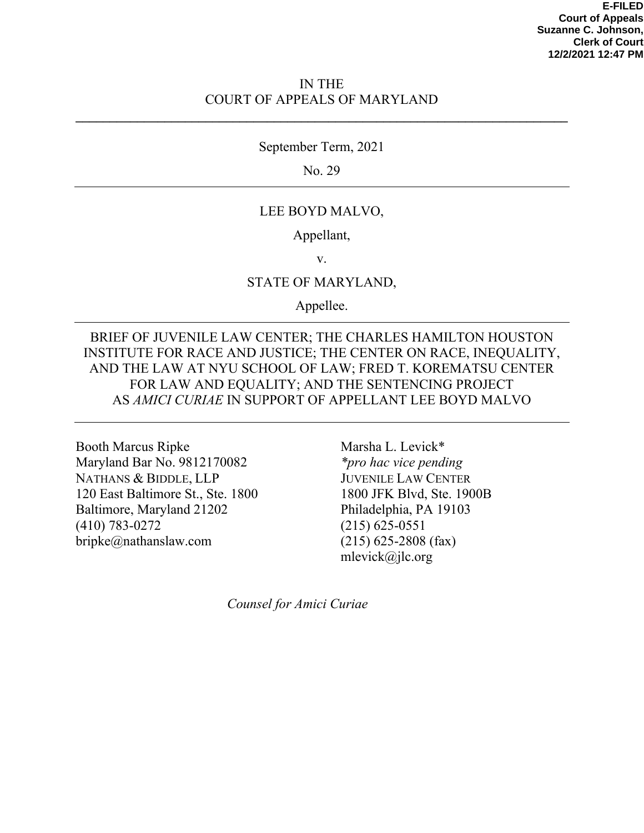### IN THE COURT OF APPEALS OF MARYLAND

**\_\_\_\_\_\_\_\_\_\_\_\_\_\_\_\_\_\_\_\_\_\_\_\_\_\_\_\_\_\_\_\_\_\_\_\_\_\_\_\_\_\_\_\_\_\_\_\_\_\_\_\_\_\_\_\_\_\_\_\_\_\_\_\_\_\_\_\_\_\_\_\_** 

September Term, 2021

No. 29

# LEE BOYD MALVO,

Appellant,

v.

# STATE OF MARYLAND,

Appellee.

BRIEF OF JUVENILE LAW CENTER; THE CHARLES HAMILTON HOUSTON INSTITUTE FOR RACE AND JUSTICE; THE CENTER ON RACE, INEQUALITY, AND THE LAW AT NYU SCHOOL OF LAW; FRED T. KOREMATSU CENTER FOR LAW AND EQUALITY; AND THE SENTENCING PROJECT AS *AMICI CURIAE* IN SUPPORT OF APPELLANT LEE BOYD MALVO

Booth Marcus Ripke Maryland Bar No. 9812170082 NATHANS & BIDDLE, LLP 120 East Baltimore St., Ste. 1800 Baltimore, Maryland 21202 (410) 783-0272 bripke@nathanslaw.com

Marsha L. Levick\* *\*pro hac vice pending*  JUVENILE LAW CENTER 1800 JFK Blvd, Ste. 1900B Philadelphia, PA 19103 (215) 625-0551 (215) 625-2808 (fax) mlevick@jlc.org

*Counsel for Amici Curiae*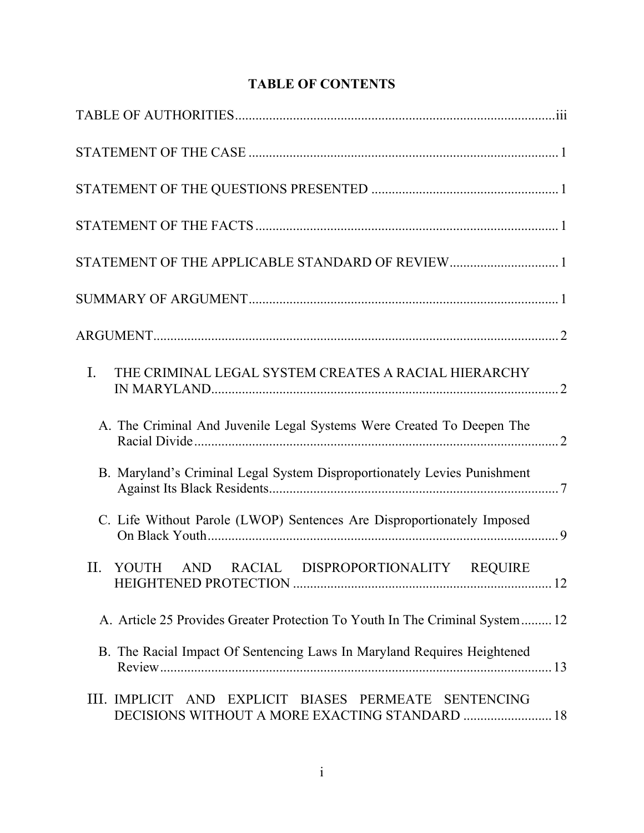# **TABLE OF CONTENTS**

| STATEMENT OF THE APPLICABLE STANDARD OF REVIEW1                                                         |
|---------------------------------------------------------------------------------------------------------|
|                                                                                                         |
|                                                                                                         |
| THE CRIMINAL LEGAL SYSTEM CREATES A RACIAL HIERARCHY<br>Ι.                                              |
| A. The Criminal And Juvenile Legal Systems Were Created To Deepen The                                   |
| B. Maryland's Criminal Legal System Disproportionately Levies Punishment                                |
| C. Life Without Parole (LWOP) Sentences Are Disproportionately Imposed                                  |
| YOUTH<br>AND RACIAL<br>DISPROPORTIONALITY REQUIRE<br>П.                                                 |
| A. Article 25 Provides Greater Protection To Youth In The Criminal System 12                            |
| B. The Racial Impact Of Sentencing Laws In Maryland Requires Heightened                                 |
| III. IMPLICIT AND EXPLICIT BIASES PERMEATE SENTENCING<br>DECISIONS WITHOUT A MORE EXACTING STANDARD  18 |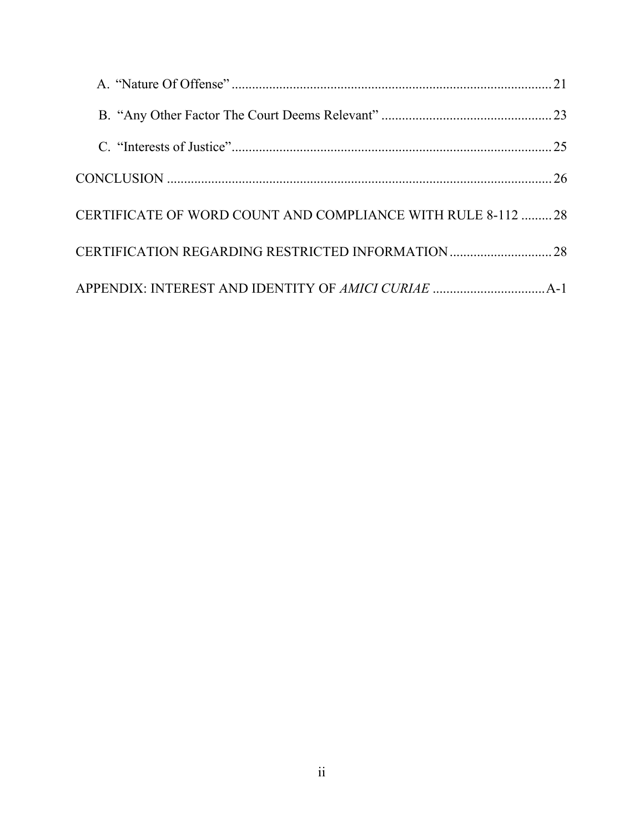| CERTIFICATE OF WORD COUNT AND COMPLIANCE WITH RULE 8-112  28 |  |
|--------------------------------------------------------------|--|
| CERTIFICATION REGARDING RESTRICTED INFORMATION  28           |  |
|                                                              |  |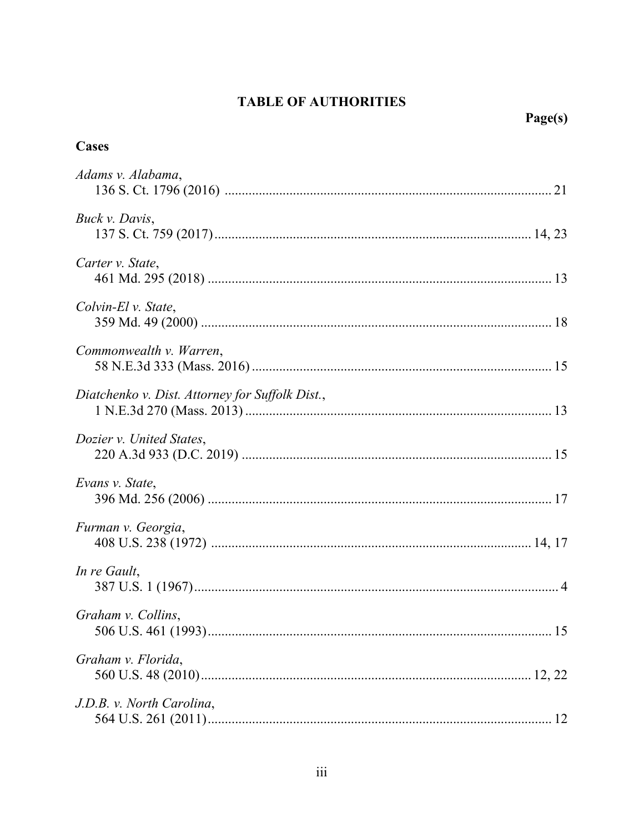# **TABLE OF AUTHORITIES**

| <b>Cases</b>                                    |
|-------------------------------------------------|
| Adams v. Alabama,                               |
| Buck v. Davis,                                  |
| Carter v. State,                                |
| Colvin-El v. State,                             |
| Commonwealth v. Warren,                         |
| Diatchenko v. Dist. Attorney for Suffolk Dist., |
| Dozier v. United States,                        |
| Evans v. State,                                 |
| Furman v. Georgia,                              |
| In re Gault,                                    |
| Graham v. Collins,                              |
| Graham v. Florida,                              |
| J.D.B. v. North Carolina,                       |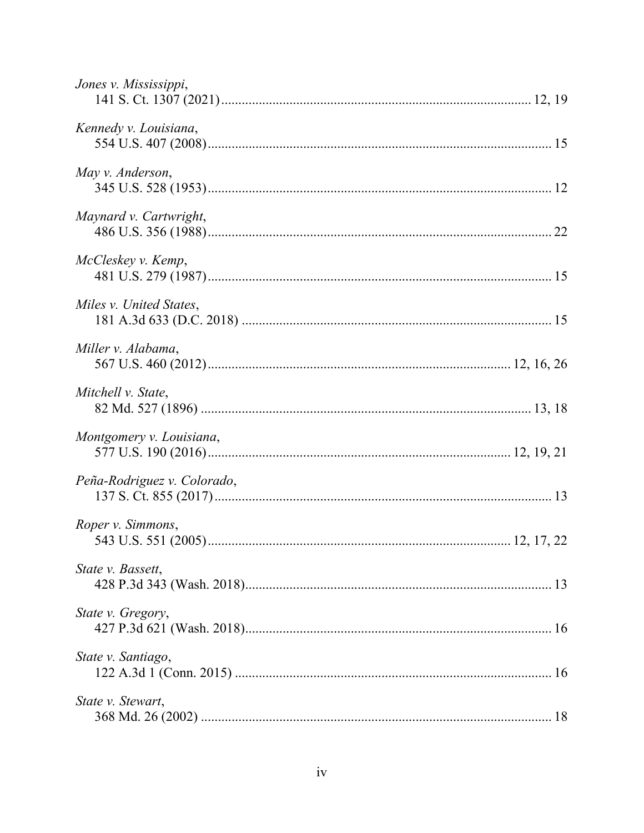| Jones v. Mississippi,       |
|-----------------------------|
| Kennedy v. Louisiana,       |
| May v. Anderson,            |
| Maynard v. Cartwright,      |
| McCleskey v. Kemp,          |
| Miles v. United States,     |
| Miller v. Alabama,          |
| Mitchell v. State,          |
| Montgomery v. Louisiana,    |
| Peña-Rodriguez v. Colorado, |
| Roper v. Simmons,           |
| State v. Bassett,           |
| State v. Gregory,           |
| State v. Santiago,          |
| State v. Stewart,           |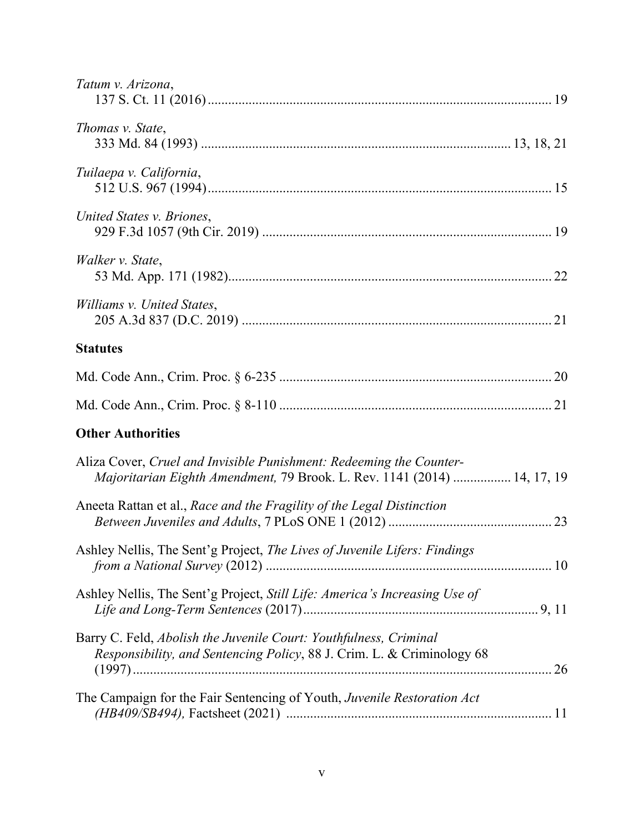| Tatum v. Arizona,                                                                                                                               |
|-------------------------------------------------------------------------------------------------------------------------------------------------|
| Thomas v. State,                                                                                                                                |
| Tuilaepa v. California,                                                                                                                         |
| United States v. Briones,                                                                                                                       |
| Walker v. State,                                                                                                                                |
| Williams v. United States,                                                                                                                      |
| <b>Statutes</b>                                                                                                                                 |
|                                                                                                                                                 |
|                                                                                                                                                 |
| <b>Other Authorities</b>                                                                                                                        |
| Aliza Cover, Cruel and Invisible Punishment: Redeeming the Counter-<br>Majoritarian Eighth Amendment, 79 Brook. L. Rev. 1141 (2014)  14, 17, 19 |
| Aneeta Rattan et al., Race and the Fragility of the Legal Distinction                                                                           |
| Ashley Nellis, The Sent'g Project, The Lives of Juvenile Lifers: Findings                                                                       |
| Ashley Nellis, The Sent'g Project, Still Life: America's Increasing Use of                                                                      |
| Barry C. Feld, Abolish the Juvenile Court: Youthfulness, Criminal<br>Responsibility, and Sentencing Policy, 88 J. Crim. L. & Criminology 68     |
| The Campaign for the Fair Sentencing of Youth, Juvenile Restoration Act                                                                         |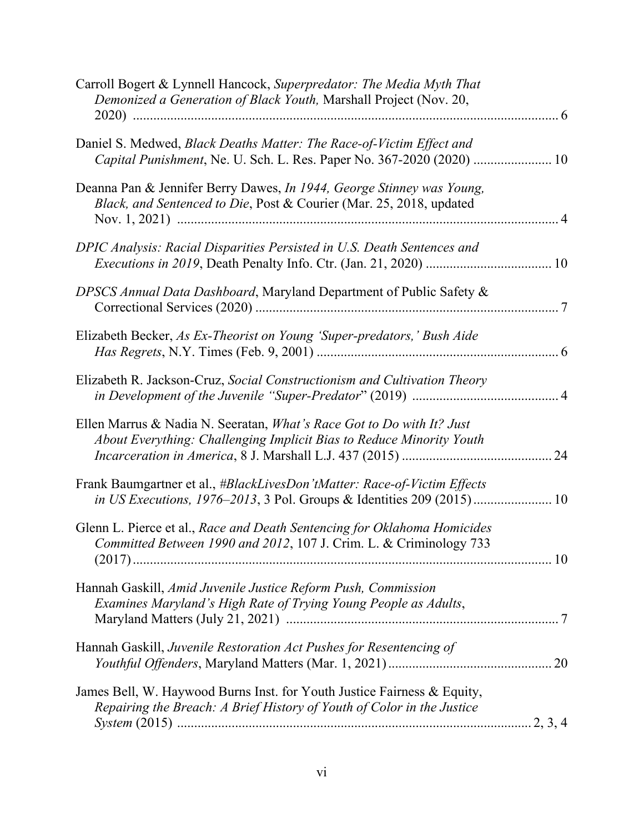| Carroll Bogert & Lynnell Hancock, Superpredator: The Media Myth That<br>Demonized a Generation of Black Youth, Marshall Project (Nov. 20,            |
|------------------------------------------------------------------------------------------------------------------------------------------------------|
| Daniel S. Medwed, Black Deaths Matter: The Race-of-Victim Effect and<br>Capital Punishment, Ne. U. Sch. L. Res. Paper No. 367-2020 (2020)  10        |
| Deanna Pan & Jennifer Berry Dawes, In 1944, George Stinney was Young,<br>Black, and Sentenced to Die, Post & Courier (Mar. 25, 2018, updated         |
| DPIC Analysis: Racial Disparities Persisted in U.S. Death Sentences and                                                                              |
| DPSCS Annual Data Dashboard, Maryland Department of Public Safety &                                                                                  |
| Elizabeth Becker, As Ex-Theorist on Young 'Super-predators,' Bush Aide                                                                               |
| Elizabeth R. Jackson-Cruz, Social Constructionism and Cultivation Theory                                                                             |
| Ellen Marrus & Nadia N. Seeratan, <i>What's Race Got to Do with It? Just</i><br>About Everything: Challenging Implicit Bias to Reduce Minority Youth |
| Frank Baumgartner et al., #BlackLivesDon'tMatter: Race-of-Victim Effects<br>in US Executions, 1976-2013, 3 Pol. Groups & Identities 209 (2015)  10   |
| Glenn L. Pierce et al., Race and Death Sentencing for Oklahoma Homicides<br>Committed Between 1990 and 2012, 107 J. Crim. L. & Criminology 733       |
| Hannah Gaskill, Amid Juvenile Justice Reform Push, Commission<br>Examines Maryland's High Rate of Trying Young People as Adults,                     |
| Hannah Gaskill, Juvenile Restoration Act Pushes for Resentencing of                                                                                  |
| James Bell, W. Haywood Burns Inst. for Youth Justice Fairness & Equity,<br>Repairing the Breach: A Brief History of Youth of Color in the Justice    |
|                                                                                                                                                      |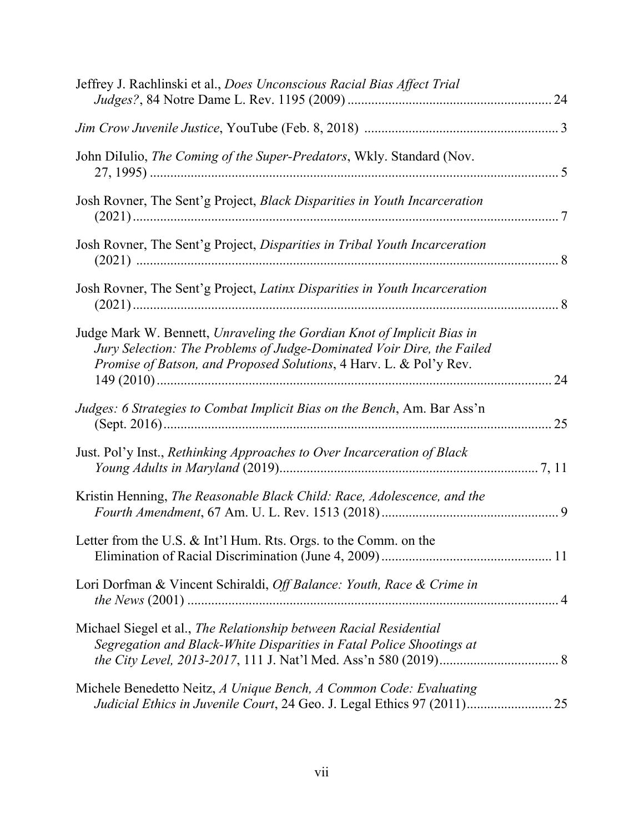| Jeffrey J. Rachlinski et al., Does Unconscious Racial Bias Affect Trial                                                                                                                                               |    |
|-----------------------------------------------------------------------------------------------------------------------------------------------------------------------------------------------------------------------|----|
|                                                                                                                                                                                                                       |    |
| John DiIulio, The Coming of the Super-Predators, Wkly. Standard (Nov.                                                                                                                                                 |    |
| Josh Rovner, The Sent'g Project, Black Disparities in Youth Incarceration                                                                                                                                             |    |
| Josh Rovner, The Sent'g Project, Disparities in Tribal Youth Incarceration                                                                                                                                            |    |
| Josh Rovner, The Sent'g Project, Latinx Disparities in Youth Incarceration                                                                                                                                            |    |
| Judge Mark W. Bennett, Unraveling the Gordian Knot of Implicit Bias in<br>Jury Selection: The Problems of Judge-Dominated Voir Dire, the Failed<br>Promise of Batson, and Proposed Solutions, 4 Harv. L. & Pol'y Rev. | 24 |
| Judges: 6 Strategies to Combat Implicit Bias on the Bench, Am. Bar Ass'n                                                                                                                                              | 25 |
| Just. Pol'y Inst., Rethinking Approaches to Over Incarceration of Black                                                                                                                                               |    |
| Kristin Henning, The Reasonable Black Child: Race, Adolescence, and the                                                                                                                                               |    |
| Letter from the U.S. & Int'l Hum. Rts. Orgs. to the Comm. on the                                                                                                                                                      |    |
| Lori Dorfman & Vincent Schiraldi, Off Balance: Youth, Race & Crime in                                                                                                                                                 |    |
| Michael Siegel et al., The Relationship between Racial Residential<br>Segregation and Black-White Disparities in Fatal Police Shootings at                                                                            |    |
| Michele Benedetto Neitz, A Unique Bench, A Common Code: Evaluating<br>Judicial Ethics in Juvenile Court, 24 Geo. J. Legal Ethics 97 (2011) 25                                                                         |    |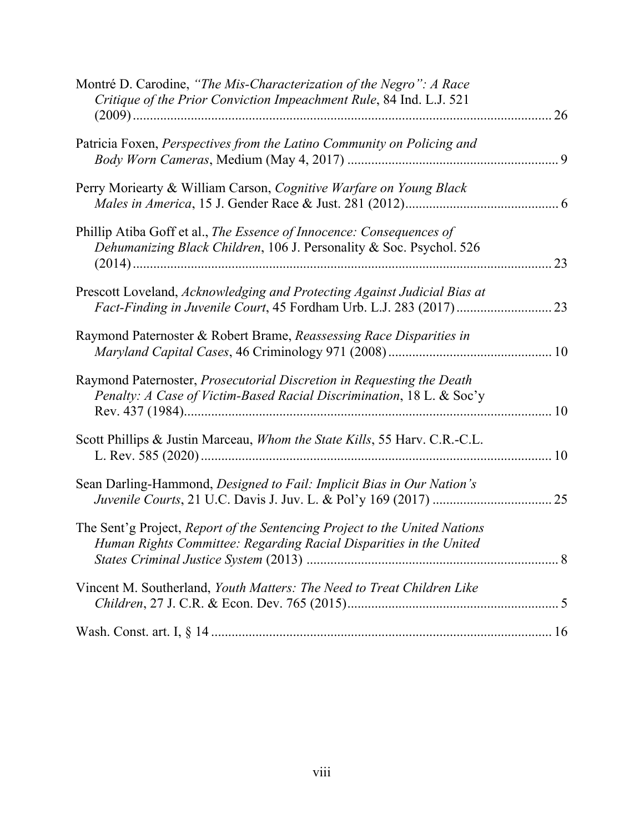| Montré D. Carodine, "The Mis-Characterization of the Negro": A Race<br>Critique of the Prior Conviction Impeachment Rule, 84 Ind. L.J. 521       |    |
|--------------------------------------------------------------------------------------------------------------------------------------------------|----|
| Patricia Foxen, Perspectives from the Latino Community on Policing and                                                                           |    |
| Perry Moriearty & William Carson, Cognitive Warfare on Young Black                                                                               |    |
| Phillip Atiba Goff et al., The Essence of Innocence: Consequences of<br>Dehumanizing Black Children, 106 J. Personality & Soc. Psychol. 526      | 23 |
| Prescott Loveland, Acknowledging and Protecting Against Judicial Bias at                                                                         | 23 |
| Raymond Paternoster & Robert Brame, Reassessing Race Disparities in                                                                              |    |
| Raymond Paternoster, Prosecutorial Discretion in Requesting the Death<br>Penalty: A Case of Victim-Based Racial Discrimination, 18 L. & Soc'y    |    |
| Scott Phillips & Justin Marceau, Whom the State Kills, 55 Harv. C.R.-C.L.                                                                        |    |
| Sean Darling-Hammond, Designed to Fail: Implicit Bias in Our Nation's                                                                            | 25 |
| The Sent'g Project, Report of the Sentencing Project to the United Nations<br>Human Rights Committee: Regarding Racial Disparities in the United |    |
| Vincent M. Southerland, Youth Matters: The Need to Treat Children Like                                                                           |    |
|                                                                                                                                                  |    |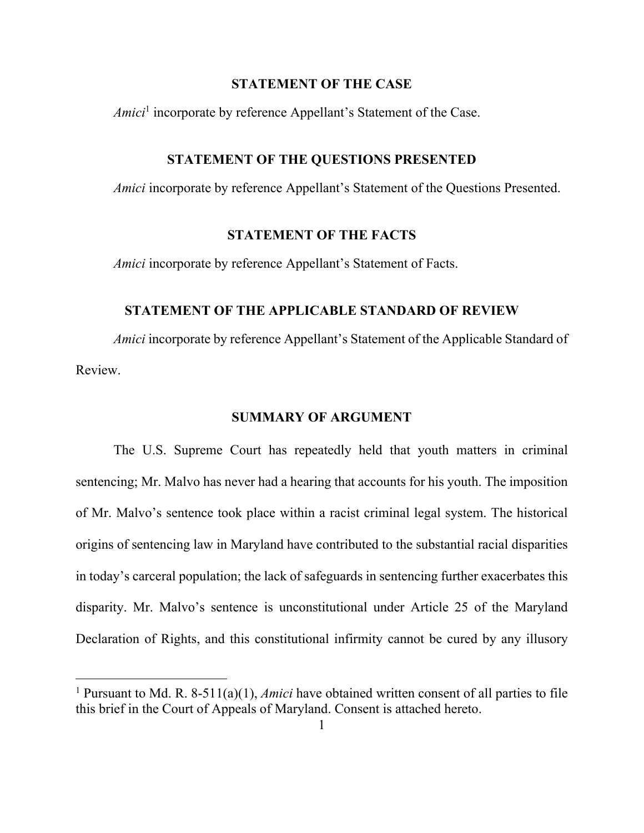### **STATEMENT OF THE CASE**

*Amici*<sup>1</sup> incorporate by reference Appellant's Statement of the Case.

### **STATEMENT OF THE QUESTIONS PRESENTED**

*Amici* incorporate by reference Appellant's Statement of the Questions Presented.

### **STATEMENT OF THE FACTS**

*Amici* incorporate by reference Appellant's Statement of Facts.

### **STATEMENT OF THE APPLICABLE STANDARD OF REVIEW**

*Amici* incorporate by reference Appellant's Statement of the Applicable Standard of Review.

### **SUMMARY OF ARGUMENT**

The U.S. Supreme Court has repeatedly held that youth matters in criminal sentencing; Mr. Malvo has never had a hearing that accounts for his youth. The imposition of Mr. Malvo's sentence took place within a racist criminal legal system. The historical origins of sentencing law in Maryland have contributed to the substantial racial disparities in today's carceral population; the lack of safeguards in sentencing further exacerbates this disparity. Mr. Malvo's sentence is unconstitutional under Article 25 of the Maryland Declaration of Rights, and this constitutional infirmity cannot be cured by any illusory

<sup>&</sup>lt;sup>1</sup> Pursuant to Md. R. 8-511(a)(1), *Amici* have obtained written consent of all parties to file this brief in the Court of Appeals of Maryland. Consent is attached hereto.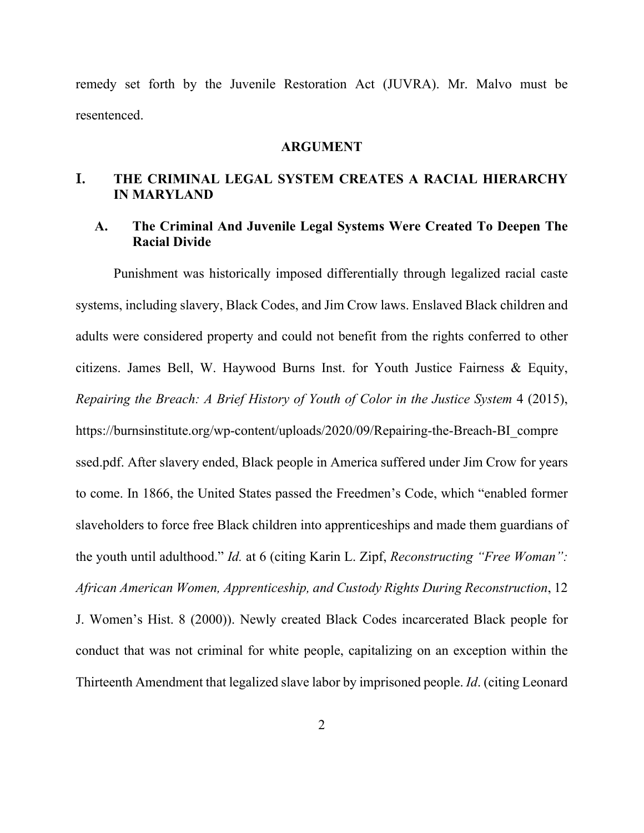remedy set forth by the Juvenile Restoration Act (JUVRA). Mr. Malvo must be resentenced.

### **ARGUMENT**

# **I. THE CRIMINAL LEGAL SYSTEM CREATES A RACIAL HIERARCHY IN MARYLAND**

# **A. The Criminal And Juvenile Legal Systems Were Created To Deepen The Racial Divide**

Punishment was historically imposed differentially through legalized racial caste systems, including slavery, Black Codes, and Jim Crow laws. Enslaved Black children and adults were considered property and could not benefit from the rights conferred to other citizens. James Bell, W. Haywood Burns Inst. for Youth Justice Fairness & Equity, *Repairing the Breach: A Brief History of Youth of Color in the Justice System* 4 (2015), https://burnsinstitute.org/wp-content/uploads/2020/09/Repairing-the-Breach-BI\_compre ssed.pdf. After slavery ended, Black people in America suffered under Jim Crow for years to come. In 1866, the United States passed the Freedmen's Code, which "enabled former slaveholders to force free Black children into apprenticeships and made them guardians of the youth until adulthood." *Id.* at 6 (citing Karin L. Zipf, *Reconstructing "Free Woman": African American Women, Apprenticeship, and Custody Rights During Reconstruction*, 12 J. Women's Hist. 8 (2000)). Newly created Black Codes incarcerated Black people for conduct that was not criminal for white people, capitalizing on an exception within the Thirteenth Amendment that legalized slave labor by imprisoned people. *Id*. (citing Leonard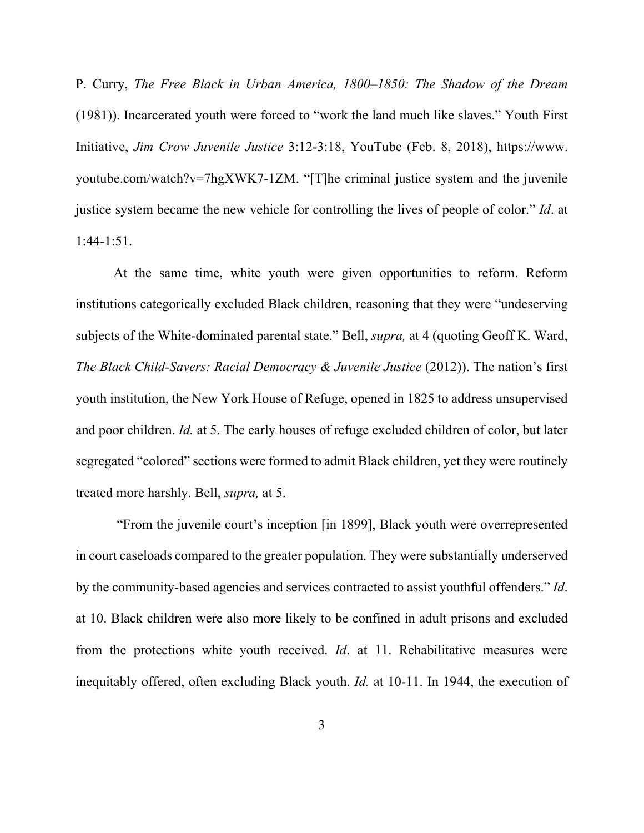P. Curry, *The Free Black in Urban America, 1800–1850: The Shadow of the Dream*  (1981)). Incarcerated youth were forced to "work the land much like slaves." Youth First Initiative, *Jim Crow Juvenile Justice* 3:12-3:18, YouTube (Feb. 8, 2018), https://www. youtube.com/watch?v=7hgXWK7-1ZM. "[T]he criminal justice system and the juvenile justice system became the new vehicle for controlling the lives of people of color." *Id*. at 1:44-1:51.

At the same time, white youth were given opportunities to reform. Reform institutions categorically excluded Black children, reasoning that they were "undeserving subjects of the White-dominated parental state." Bell, *supra,* at 4 (quoting Geoff K. Ward, *The Black Child-Savers: Racial Democracy & Juvenile Justice (2012).* The nation's first youth institution, the New York House of Refuge, opened in 1825 to address unsupervised and poor children. *Id.* at 5. The early houses of refuge excluded children of color, but later segregated "colored" sections were formed to admit Black children, yet they were routinely treated more harshly. Bell, *supra,* at 5.

 "From the juvenile court's inception [in 1899], Black youth were overrepresented in court caseloads compared to the greater population. They were substantially underserved by the community-based agencies and services contracted to assist youthful offenders." *Id*. at 10. Black children were also more likely to be confined in adult prisons and excluded from the protections white youth received. *Id*. at 11. Rehabilitative measures were inequitably offered, often excluding Black youth. *Id.* at 10-11. In 1944, the execution of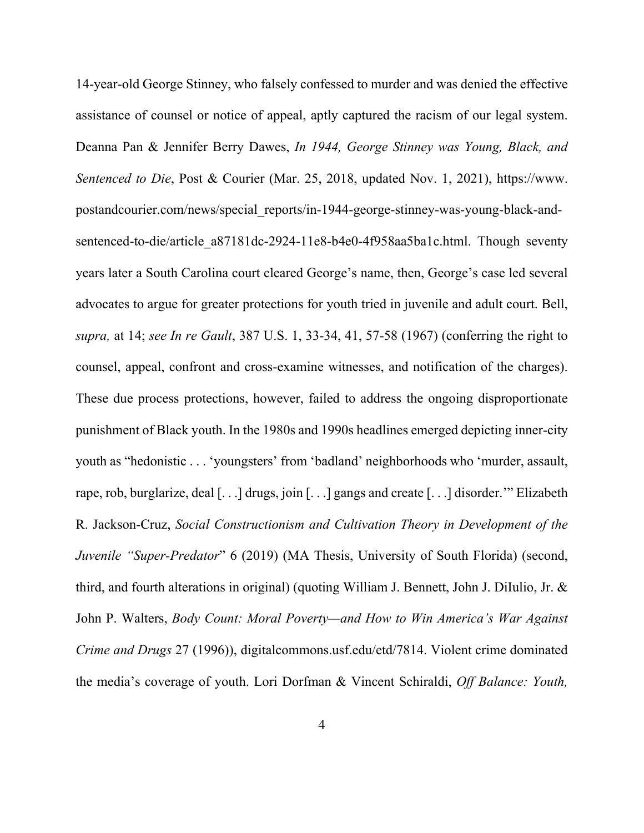14-year-old George Stinney, who falsely confessed to murder and was denied the effective assistance of counsel or notice of appeal, aptly captured the racism of our legal system. Deanna Pan & Jennifer Berry Dawes, *In 1944, George Stinney was Young, Black, and Sentenced to Die*, Post & Courier (Mar. 25, 2018, updated Nov. 1, 2021), https://www. postandcourier.com/news/special\_reports/in-1944-george-stinney-was-young-black-andsentenced-to-die/article\_a87181dc-2924-11e8-b4e0-4f958aa5ba1c.html. Though seventy years later a South Carolina court cleared George's name, then, George's case led several advocates to argue for greater protections for youth tried in juvenile and adult court. Bell, *supra,* at 14; *see In re Gault*, 387 U.S. 1, 33-34, 41, 57-58 (1967) (conferring the right to counsel, appeal, confront and cross-examine witnesses, and notification of the charges). These due process protections, however, failed to address the ongoing disproportionate punishment of Black youth. In the 1980s and 1990s headlines emerged depicting inner-city youth as "hedonistic . . . 'youngsters' from 'badland' neighborhoods who 'murder, assault, rape, rob, burglarize, deal [. . .] drugs, join [. . .] gangs and create [. . .] disorder.'" Elizabeth R. Jackson-Cruz, *Social Constructionism and Cultivation Theory in Development of the Juvenile "Super-Predator"* 6 (2019) (MA Thesis, University of South Florida) (second, third, and fourth alterations in original) (quoting William J. Bennett, John J. DiIulio, Jr. & John P. Walters, *Body Count: Moral Poverty—and How to Win America's War Against Crime and Drugs* 27 (1996)), digitalcommons.usf.edu/etd/7814. Violent crime dominated the media's coverage of youth. Lori Dorfman & Vincent Schiraldi, *Off Balance: Youth,*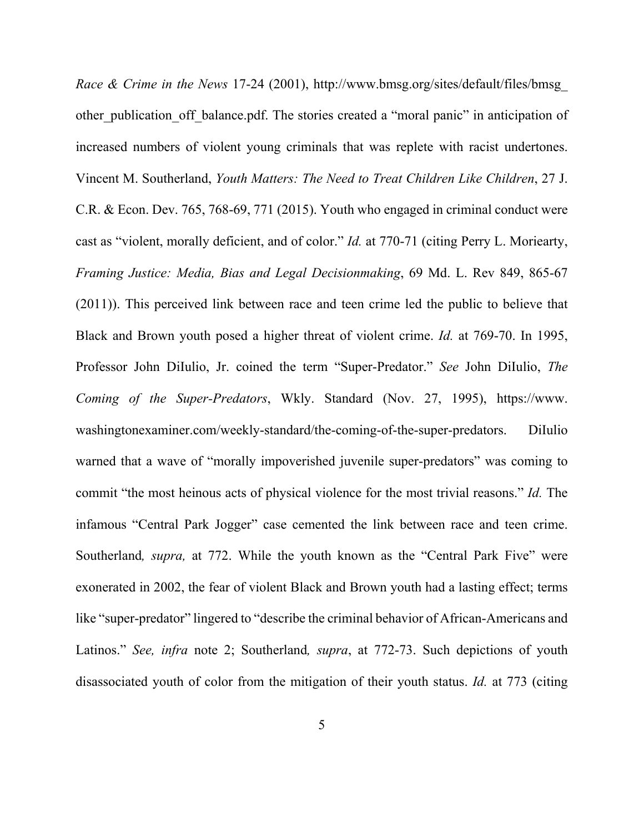*Race & Crime in the News* 17-24 (2001), http://www.bmsg.org/sites/default/files/bmsg\_ other publication off balance.pdf. The stories created a "moral panic" in anticipation of increased numbers of violent young criminals that was replete with racist undertones. Vincent M. Southerland, *Youth Matters: The Need to Treat Children Like Children*, 27 J. C.R. & Econ. Dev. 765, 768-69, 771 (2015). Youth who engaged in criminal conduct were cast as "violent, morally deficient, and of color." *Id.* at 770-71 (citing Perry L. Moriearty, *Framing Justice: Media, Bias and Legal Decisionmaking*, 69 Md. L. Rev 849, 865-67 (2011)). This perceived link between race and teen crime led the public to believe that Black and Brown youth posed a higher threat of violent crime. *Id.* at 769-70. In 1995, Professor John DiIulio, Jr. coined the term "Super-Predator." *See* John DiIulio, *The Coming of the Super-Predators*, Wkly. Standard (Nov. 27, 1995), https://www. washingtonexaminer.com/weekly-standard/the-coming-of-the-super-predators. DiIulio warned that a wave of "morally impoverished juvenile super-predators" was coming to commit "the most heinous acts of physical violence for the most trivial reasons." *Id.* The infamous "Central Park Jogger" case cemented the link between race and teen crime. Southerland*, supra,* at 772. While the youth known as the "Central Park Five" were exonerated in 2002, the fear of violent Black and Brown youth had a lasting effect; terms like "super-predator" lingered to "describe the criminal behavior of African-Americans and Latinos." *See, infra* note 2; Southerland*, supra*, at 772-73. Such depictions of youth disassociated youth of color from the mitigation of their youth status. *Id.* at 773 (citing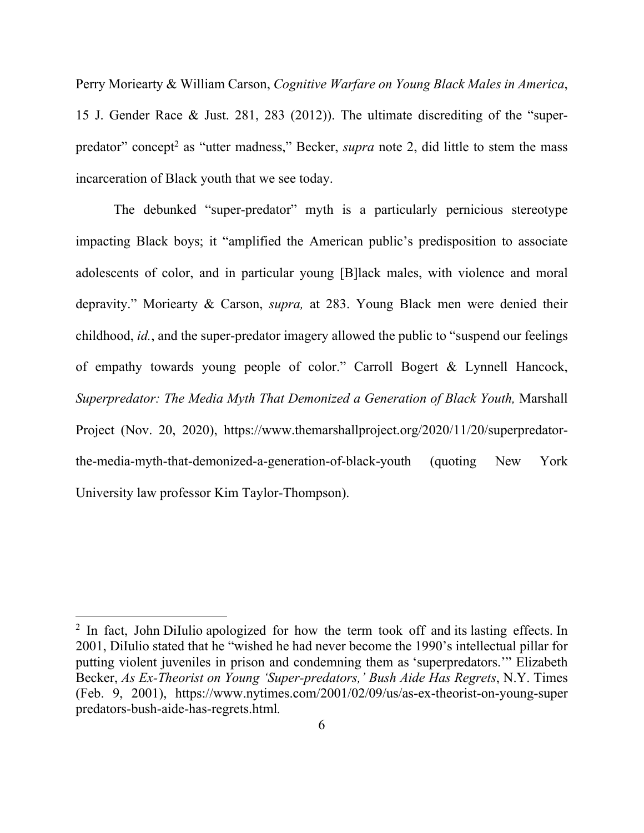Perry Moriearty & William Carson, *Cognitive Warfare on Young Black Males in America*, 15 J. Gender Race & Just. 281, 283 (2012)). The ultimate discrediting of the "superpredator" concept<sup>2</sup> as "utter madness," Becker, *supra* note 2, did little to stem the mass incarceration of Black youth that we see today.

The debunked "super-predator" myth is a particularly pernicious stereotype impacting Black boys; it "amplified the American public's predisposition to associate adolescents of color, and in particular young [B]lack males, with violence and moral depravity." Moriearty & Carson, *supra,* at 283. Young Black men were denied their childhood, *id.*, and the super-predator imagery allowed the public to "suspend our feelings of empathy towards young people of color." Carroll Bogert & Lynnell Hancock, *Superpredator: The Media Myth That Demonized a Generation of Black Youth,* Marshall Project (Nov. 20, 2020), https://www.themarshallproject.org/2020/11/20/superpredatorthe-media-myth-that-demonized-a-generation-of-black-youth (quoting New York University law professor Kim Taylor-Thompson).

<sup>&</sup>lt;sup>2</sup> In fact, John DiIulio apologized for how the term took off and its lasting effects. In 2001, DiIulio stated that he "wished he had never become the 1990's intellectual pillar for putting violent juveniles in prison and condemning them as 'superpredators.'" Elizabeth Becker, *As Ex-Theorist on Young 'Super-predators,' Bush Aide Has Regrets*, N.Y. Times (Feb. 9, 2001), https://www.nytimes.com/2001/02/09/us/as-ex-theorist-on-young-super predators-bush-aide-has-regrets.html*.*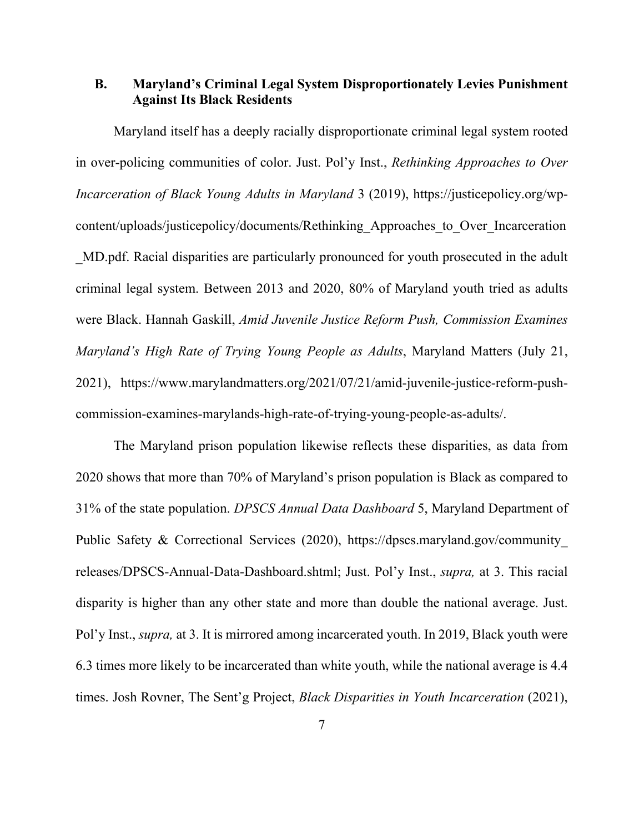# **B. Maryland's Criminal Legal System Disproportionately Levies Punishment Against Its Black Residents**

Maryland itself has a deeply racially disproportionate criminal legal system rooted in over-policing communities of color. Just. Pol'y Inst., *Rethinking Approaches to Over Incarceration of Black Young Adults in Maryland* 3 (2019), https://justicepolicy.org/wpcontent/uploads/justicepolicy/documents/Rethinking Approaches to Over Incarceration \_MD.pdf. Racial disparities are particularly pronounced for youth prosecuted in the adult criminal legal system. Between 2013 and 2020, 80% of Maryland youth tried as adults were Black. Hannah Gaskill, *Amid Juvenile Justice Reform Push, Commission Examines Maryland's High Rate of Trying Young People as Adults*, Maryland Matters (July 21, 2021), https://www.marylandmatters.org/2021/07/21/amid-juvenile-justice-reform-pushcommission-examines-marylands-high-rate-of-trying-young-people-as-adults/.

The Maryland prison population likewise reflects these disparities, as data from 2020 shows that more than 70% of Maryland's prison population is Black as compared to 31% of the state population. *DPSCS Annual Data Dashboard* 5, Maryland Department of Public Safety & Correctional Services (2020), https://dpscs.maryland.gov/community releases/DPSCS-Annual-Data-Dashboard.shtml; Just. Pol'y Inst., *supra,* at 3. This racial disparity is higher than any other state and more than double the national average. Just. Pol'y Inst., *supra,* at 3. It is mirrored among incarcerated youth. In 2019, Black youth were 6.3 times more likely to be incarcerated than white youth, while the national average is 4.4 times. Josh Rovner, The Sent'g Project, *Black Disparities in Youth Incarceration* (2021),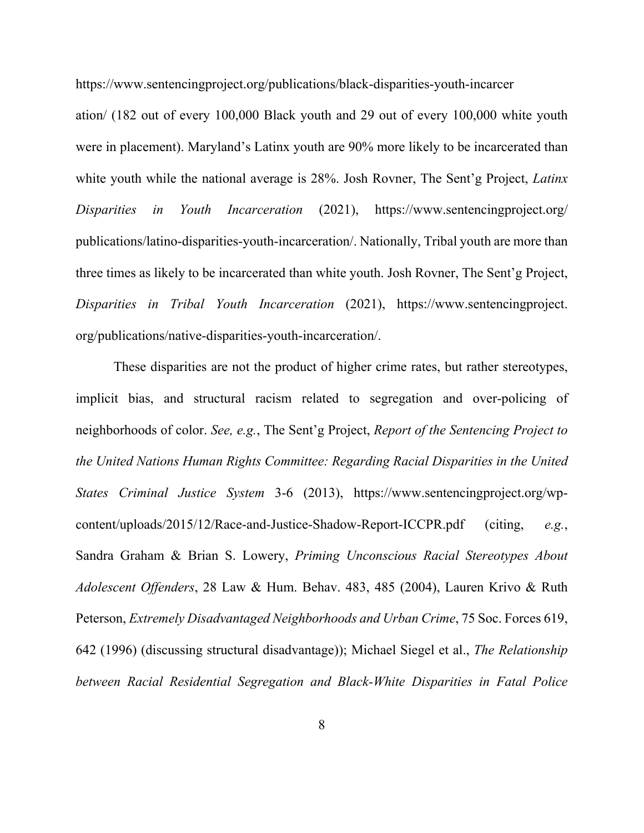https://www.sentencingproject.org/publications/black-disparities-youth-incarcer

ation/ (182 out of every 100,000 Black youth and 29 out of every 100,000 white youth were in placement). Maryland's Latinx youth are 90% more likely to be incarcerated than white youth while the national average is 28%. Josh Rovner, The Sent'g Project, *Latinx Disparities in Youth Incarceration* (2021), https://www.sentencingproject.org/ publications/latino-disparities-youth-incarceration/. Nationally, Tribal youth are more than three times as likely to be incarcerated than white youth. Josh Rovner, The Sent'g Project, *Disparities in Tribal Youth Incarceration* (2021), https://www.sentencingproject. org/publications/native-disparities-youth-incarceration/.

These disparities are not the product of higher crime rates, but rather stereotypes, implicit bias, and structural racism related to segregation and over-policing of neighborhoods of color. *See, e.g.*, The Sent'g Project, *Report of the Sentencing Project to the United Nations Human Rights Committee: Regarding Racial Disparities in the United States Criminal Justice System* 3-6 (2013), https://www.sentencingproject.org/wpcontent/uploads/2015/12/Race-and-Justice-Shadow-Report-ICCPR.pdf (citing, *e.g.*, Sandra Graham & Brian S. Lowery, *Priming Unconscious Racial Stereotypes About Adolescent Offenders*, 28 Law & Hum. Behav. 483, 485 (2004), Lauren Krivo & Ruth Peterson, *Extremely Disadvantaged Neighborhoods and Urban Crime*, 75 Soc. Forces 619, 642 (1996) (discussing structural disadvantage)); Michael Siegel et al., *The Relationship between Racial Residential Segregation and Black-White Disparities in Fatal Police*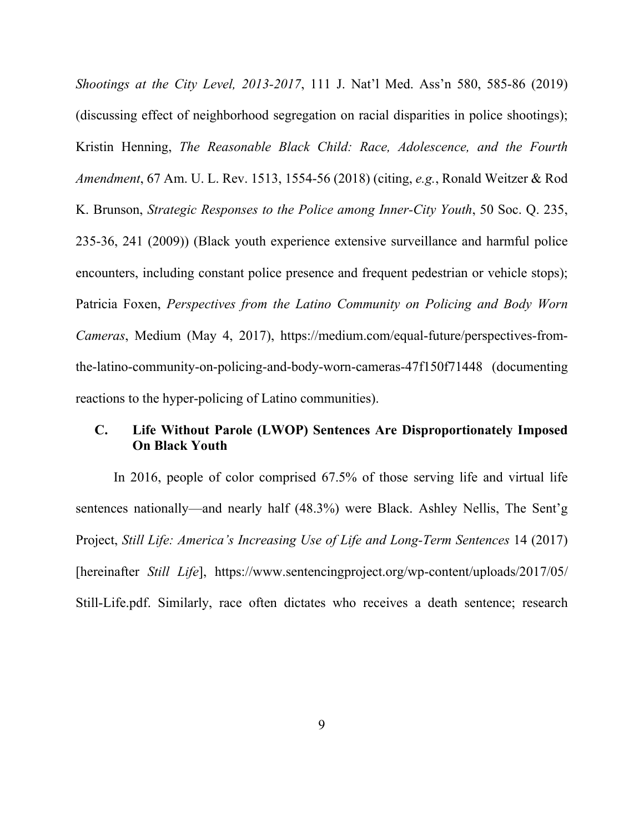*Shootings at the City Level, 2013-2017*, 111 J. Nat'l Med. Ass'n 580, 585-86 (2019) (discussing effect of neighborhood segregation on racial disparities in police shootings); Kristin Henning, *The Reasonable Black Child: Race, Adolescence, and the Fourth Amendment*, 67 Am. U. L. Rev. 1513, 1554-56 (2018) (citing, *e.g.*, Ronald Weitzer & Rod K. Brunson, *Strategic Responses to the Police among Inner-City Youth*, 50 Soc. Q. 235, 235-36, 241 (2009)) (Black youth experience extensive surveillance and harmful police encounters, including constant police presence and frequent pedestrian or vehicle stops); Patricia Foxen, *Perspectives from the Latino Community on Policing and Body Worn Cameras*, Medium (May 4, 2017), https://medium.com/equal-future/perspectives-fromthe-latino-community-on-policing-and-body-worn-cameras-47f150f71448 (documenting reactions to the hyper-policing of Latino communities).

# **C. Life Without Parole (LWOP) Sentences Are Disproportionately Imposed On Black Youth**

In 2016, people of color comprised 67.5% of those serving life and virtual life sentences nationally—and nearly half (48.3%) were Black. Ashley Nellis, The Sent'g Project, *Still Life: America's Increasing Use of Life and Long-Term Sentences* 14 (2017) [hereinafter *Still Life*], https://www.sentencingproject.org/wp-content/uploads/2017/05/ Still-Life.pdf. Similarly, race often dictates who receives a death sentence; research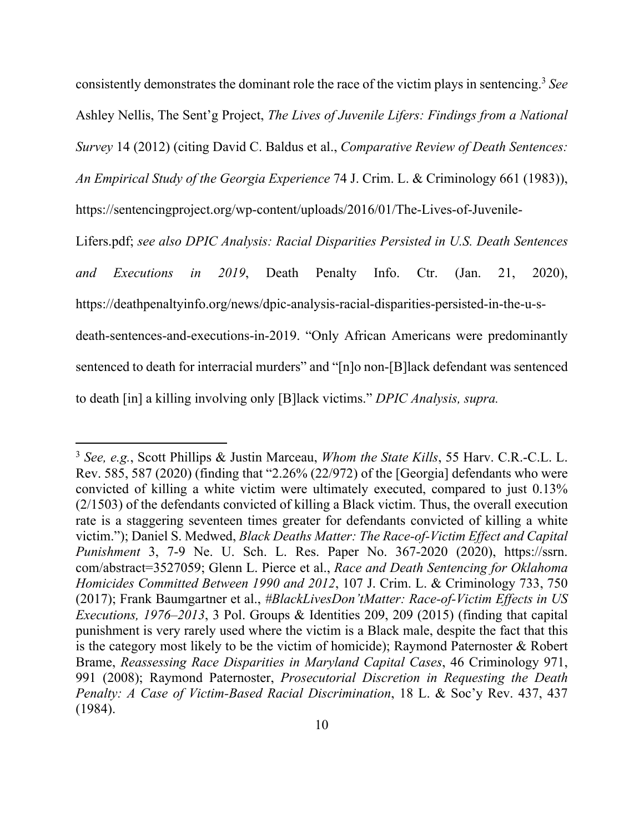consistently demonstrates the dominant role the race of the victim plays in sentencing.3 *See* Ashley Nellis, The Sent'g Project, *The Lives of Juvenile Lifers: Findings from a National Survey* 14 (2012) (citing David C. Baldus et al., *Comparative Review of Death Sentences: An Empirical Study of the Georgia Experience* 74 J. Crim. L. & Criminology 661 (1983)), https://sentencingproject.org/wp-content/uploads/2016/01/The-Lives-of-Juvenile-Lifers.pdf; *see also DPIC Analysis: Racial Disparities Persisted in U.S. Death Sentences and Executions in 2019*, Death Penalty Info. Ctr. (Jan. 21, 2020), https://deathpenaltyinfo.org/news/dpic-analysis-racial-disparities-persisted-in-the-u-sdeath-sentences-and-executions-in-2019. "Only African Americans were predominantly sentenced to death for interracial murders" and "[n]o non-[B]lack defendant was sentenced to death [in] a killing involving only [B]lack victims." *DPIC Analysis, supra.*

<sup>3</sup> *See, e.g.*, Scott Phillips & Justin Marceau, *Whom the State Kills*, 55 Harv. C.R.-C.L. L. Rev. 585, 587 (2020) (finding that "2.26% (22/972) of the [Georgia] defendants who were convicted of killing a white victim were ultimately executed, compared to just 0.13% (2/1503) of the defendants convicted of killing a Black victim. Thus, the overall execution rate is a staggering seventeen times greater for defendants convicted of killing a white victim."); Daniel S. Medwed, *Black Deaths Matter: The Race-of-Victim Effect and Capital Punishment* 3, 7-9 Ne. U. Sch. L. Res. Paper No. 367-2020 (2020), https://ssrn. com/abstract=3527059; Glenn L. Pierce et al., *Race and Death Sentencing for Oklahoma Homicides Committed Between 1990 and 2012*, 107 J. Crim. L. & Criminology 733, 750 (2017); Frank Baumgartner et al., *#BlackLivesDon'tMatter: Race-of-Victim Effects in US Executions, 1976–2013*, 3 Pol. Groups & Identities 209, 209 (2015) (finding that capital punishment is very rarely used where the victim is a Black male, despite the fact that this is the category most likely to be the victim of homicide); Raymond Paternoster & Robert Brame, *Reassessing Race Disparities in Maryland Capital Cases*, 46 Criminology 971, 991 (2008); Raymond Paternoster, *Prosecutorial Discretion in Requesting the Death Penalty: A Case of Victim-Based Racial Discrimination*, 18 L. & Soc'y Rev. 437, 437 (1984).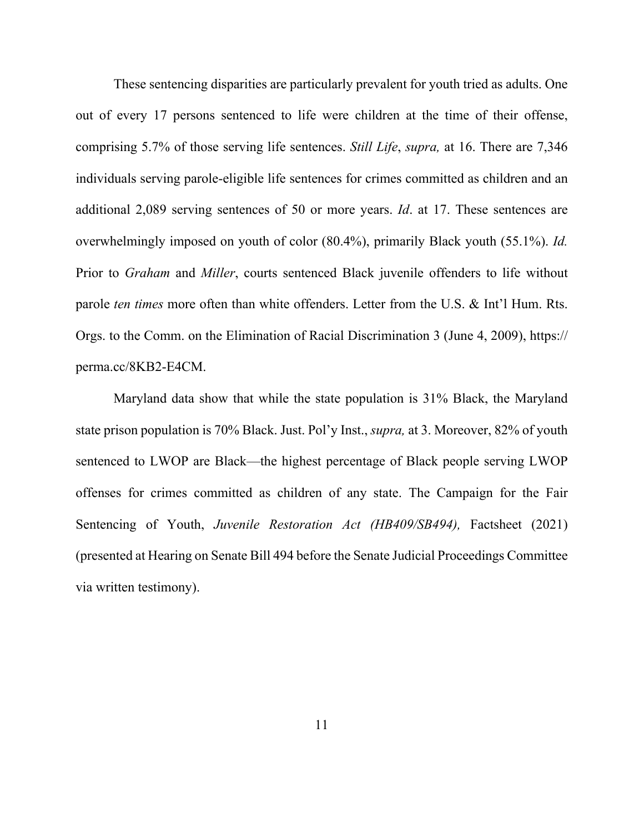These sentencing disparities are particularly prevalent for youth tried as adults. One out of every 17 persons sentenced to life were children at the time of their offense, comprising 5.7% of those serving life sentences. *Still Life*, *supra,* at 16. There are 7,346 individuals serving parole-eligible life sentences for crimes committed as children and an additional 2,089 serving sentences of 50 or more years. *Id*. at 17. These sentences are overwhelmingly imposed on youth of color (80.4%), primarily Black youth (55.1%). *Id.* Prior to *Graham* and *Miller*, courts sentenced Black juvenile offenders to life without parole *ten times* more often than white offenders. Letter from the U.S. & Int'l Hum. Rts. Orgs. to the Comm. on the Elimination of Racial Discrimination 3 (June 4, 2009), https:// perma.cc/8KB2-E4CM.

Maryland data show that while the state population is 31% Black, the Maryland state prison population is 70% Black. Just. Pol'y Inst., *supra,* at 3. Moreover, 82% of youth sentenced to LWOP are Black—the highest percentage of Black people serving LWOP offenses for crimes committed as children of any state. The Campaign for the Fair Sentencing of Youth, *Juvenile Restoration Act (HB409/SB494),* Factsheet (2021) (presented at Hearing on Senate Bill 494 before the Senate Judicial Proceedings Committee via written testimony).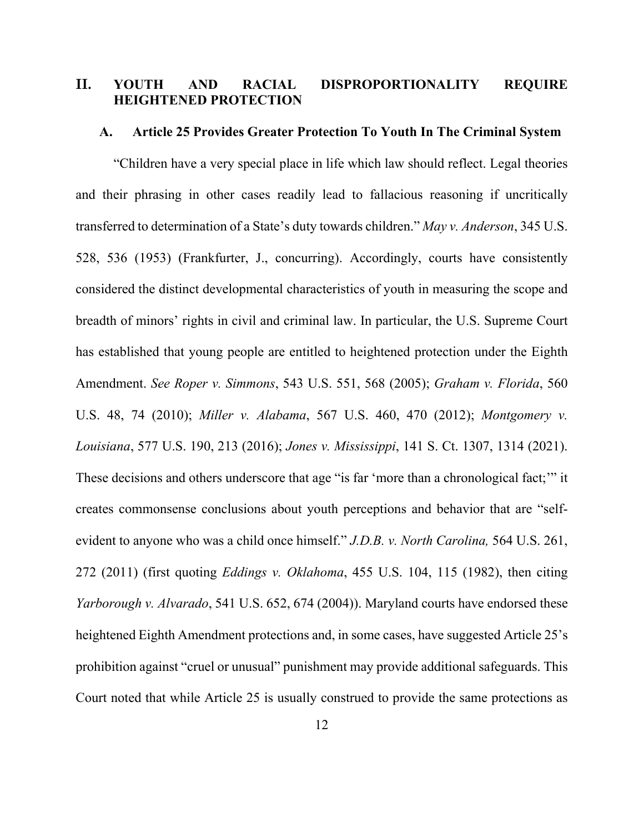# **II. YOUTH AND RACIAL DISPROPORTIONALITY REQUIRE HEIGHTENED PROTECTION**

### **A. Article 25 Provides Greater Protection To Youth In The Criminal System**

"Children have a very special place in life which law should reflect. Legal theories and their phrasing in other cases readily lead to fallacious reasoning if uncritically transferred to determination of a State's duty towards children." *May v. Anderson*, 345 U.S. 528, 536 (1953) (Frankfurter, J., concurring). Accordingly, courts have consistently considered the distinct developmental characteristics of youth in measuring the scope and breadth of minors' rights in civil and criminal law. In particular, the U.S. Supreme Court has established that young people are entitled to heightened protection under the Eighth Amendment. *See Roper v. Simmons*, 543 U.S. 551, 568 (2005); *Graham v. Florida*, 560 U.S. 48, 74 (2010); *Miller v. Alabama*, 567 U.S. 460, 470 (2012); *Montgomery v. Louisiana*, 577 U.S. 190, 213 (2016); *Jones v. Mississippi*, 141 S. Ct. 1307, 1314 (2021). These decisions and others underscore that age "is far 'more than a chronological fact;" it creates commonsense conclusions about youth perceptions and behavior that are "selfevident to anyone who was a child once himself." *J.D.B. v. North Carolina,* 564 U.S. 261, 272 (2011) (first quoting *Eddings v. Oklahoma*, 455 U.S. 104, 115 (1982), then citing *Yarborough v. Alvarado*, 541 U.S. 652, 674 (2004)). Maryland courts have endorsed these heightened Eighth Amendment protections and, in some cases, have suggested Article 25's prohibition against "cruel or unusual" punishment may provide additional safeguards. This Court noted that while Article 25 is usually construed to provide the same protections as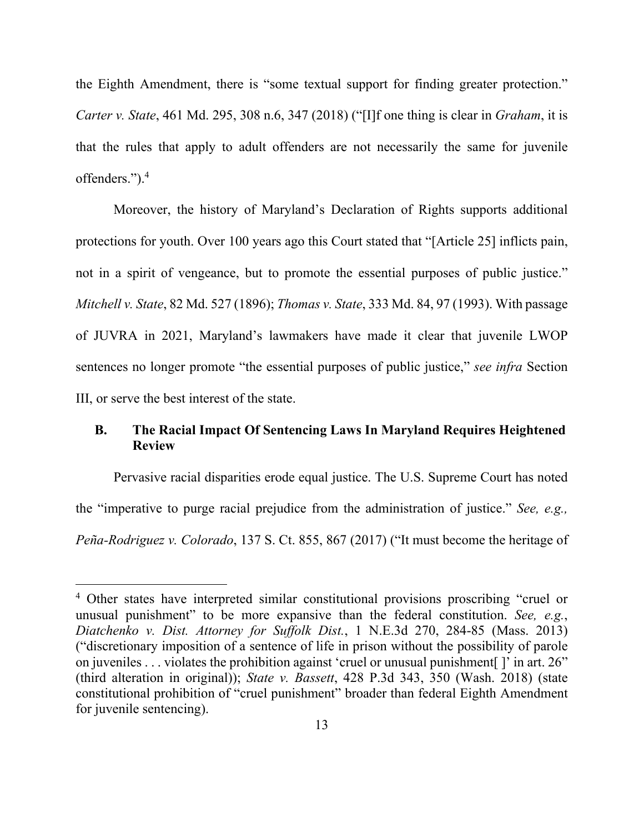the Eighth Amendment, there is "some textual support for finding greater protection." *Carter v. State*, 461 Md. 295, 308 n.6, 347 (2018) ("[I]f one thing is clear in *Graham*, it is that the rules that apply to adult offenders are not necessarily the same for juvenile offenders.").4

Moreover, the history of Maryland's Declaration of Rights supports additional protections for youth. Over 100 years ago this Court stated that "[Article 25] inflicts pain, not in a spirit of vengeance, but to promote the essential purposes of public justice." *Mitchell v. State*, 82 Md. 527 (1896); *Thomas v. State*, 333 Md. 84, 97 (1993). With passage of JUVRA in 2021, Maryland's lawmakers have made it clear that juvenile LWOP sentences no longer promote "the essential purposes of public justice," *see infra* Section III, or serve the best interest of the state.

# **B. The Racial Impact Of Sentencing Laws In Maryland Requires Heightened Review**

Pervasive racial disparities erode equal justice. The U.S. Supreme Court has noted the "imperative to purge racial prejudice from the administration of justice." *See, e.g., Peña-Rodriguez v. Colorado*, 137 S. Ct. 855, 867 (2017) ("It must become the heritage of

<sup>&</sup>lt;sup>4</sup> Other states have interpreted similar constitutional provisions proscribing "cruel or unusual punishment" to be more expansive than the federal constitution. *See, e.g.*, *Diatchenko v. Dist. Attorney for Suffolk Dist.*, 1 N.E.3d 270, 284-85 (Mass. 2013) ("discretionary imposition of a sentence of life in prison without the possibility of parole on juveniles . . . violates the prohibition against 'cruel or unusual punishment[ ]' in art. 26" (third alteration in original)); *State v. Bassett*, 428 P.3d 343, 350 (Wash. 2018) (state constitutional prohibition of "cruel punishment" broader than federal Eighth Amendment for juvenile sentencing).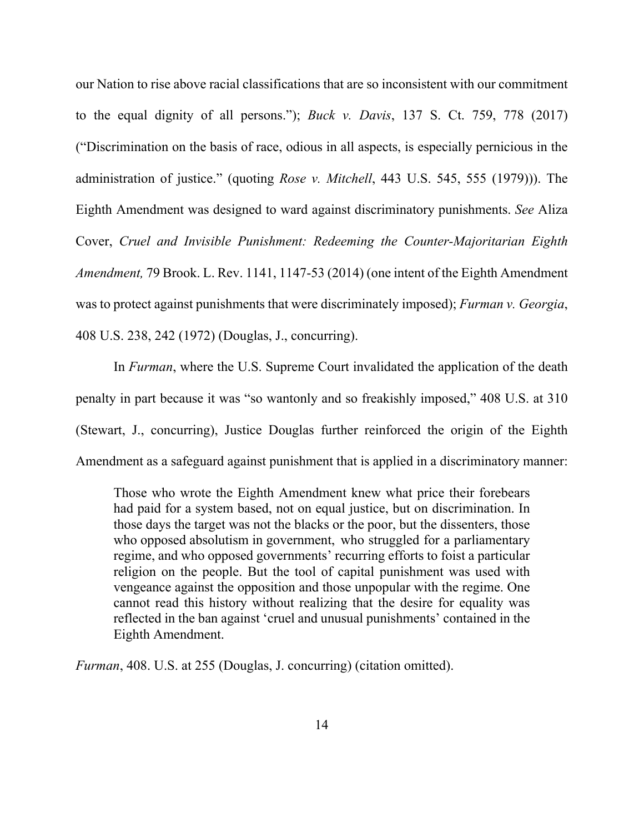our Nation to rise above racial classifications that are so inconsistent with our commitment to the equal dignity of all persons."); *Buck v. Davis*, 137 S. Ct. 759, 778 (2017) ("Discrimination on the basis of race, odious in all aspects, is especially pernicious in the administration of justice." (quoting *Rose v. Mitchell*, 443 U.S. 545, 555 (1979))). The Eighth Amendment was designed to ward against discriminatory punishments. *See* Aliza Cover, *Cruel and Invisible Punishment: Redeeming the Counter-Majoritarian Eighth Amendment,* 79 Brook. L. Rev. 1141, 1147-53 (2014) (one intent of the Eighth Amendment was to protect against punishments that were discriminately imposed); *Furman v. Georgia*, 408 U.S. 238, 242 (1972) (Douglas, J., concurring).

In *Furman*, where the U.S. Supreme Court invalidated the application of the death penalty in part because it was "so wantonly and so freakishly imposed," 408 U.S. at 310 (Stewart, J., concurring), Justice Douglas further reinforced the origin of the Eighth Amendment as a safeguard against punishment that is applied in a discriminatory manner:

Those who wrote the Eighth Amendment knew what price their forebears had paid for a system based, not on equal justice, but on discrimination. In those days the target was not the blacks or the poor, but the dissenters, those who opposed absolutism in government, who struggled for a parliamentary regime, and who opposed governments' recurring efforts to foist a particular religion on the people. But the tool of capital punishment was used with vengeance against the opposition and those unpopular with the regime. One cannot read this history without realizing that the desire for equality was reflected in the ban against 'cruel and unusual punishments' contained in the Eighth Amendment.

*Furman*, 408. U.S. at 255 (Douglas, J. concurring) (citation omitted).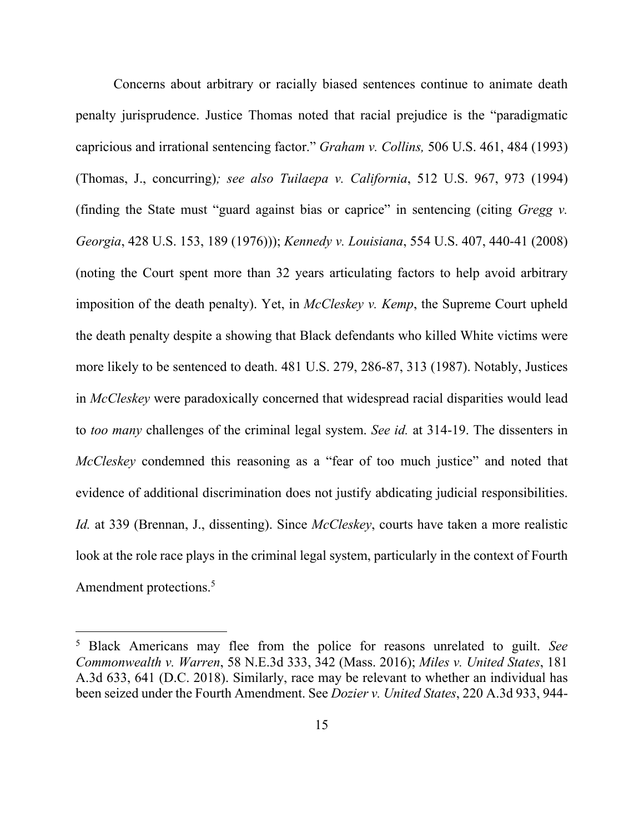Concerns about arbitrary or racially biased sentences continue to animate death penalty jurisprudence. Justice Thomas noted that racial prejudice is the "paradigmatic capricious and irrational sentencing factor." *Graham v. Collins,* 506 U.S. 461, 484 (1993) (Thomas, J., concurring)*; see also Tuilaepa v. California*, 512 U.S. 967, 973 (1994) (finding the State must "guard against bias or caprice" in sentencing (citing *Gregg v. Georgia*, 428 U.S. 153, 189 (1976))); *Kennedy v. Louisiana*, 554 U.S. 407, 440-41 (2008) (noting the Court spent more than 32 years articulating factors to help avoid arbitrary imposition of the death penalty). Yet, in *McCleskey v. Kemp*, the Supreme Court upheld the death penalty despite a showing that Black defendants who killed White victims were more likely to be sentenced to death. 481 U.S. 279, 286-87, 313 (1987). Notably, Justices in *McCleskey* were paradoxically concerned that widespread racial disparities would lead to *too many* challenges of the criminal legal system. *See id.* at 314-19. The dissenters in *McCleskey* condemned this reasoning as a "fear of too much justice" and noted that evidence of additional discrimination does not justify abdicating judicial responsibilities. *Id.* at 339 (Brennan, J., dissenting). Since *McCleskey*, courts have taken a more realistic look at the role race plays in the criminal legal system, particularly in the context of Fourth Amendment protections.<sup>5</sup>

<sup>5</sup> Black Americans may flee from the police for reasons unrelated to guilt. *See Commonwealth v. Warren*, 58 N.E.3d 333, 342 (Mass. 2016); *Miles v. United States*, 181 A.3d 633, 641 (D.C. 2018). Similarly, race may be relevant to whether an individual has been seized under the Fourth Amendment. See *Dozier v. United States*, 220 A.3d 933, 944-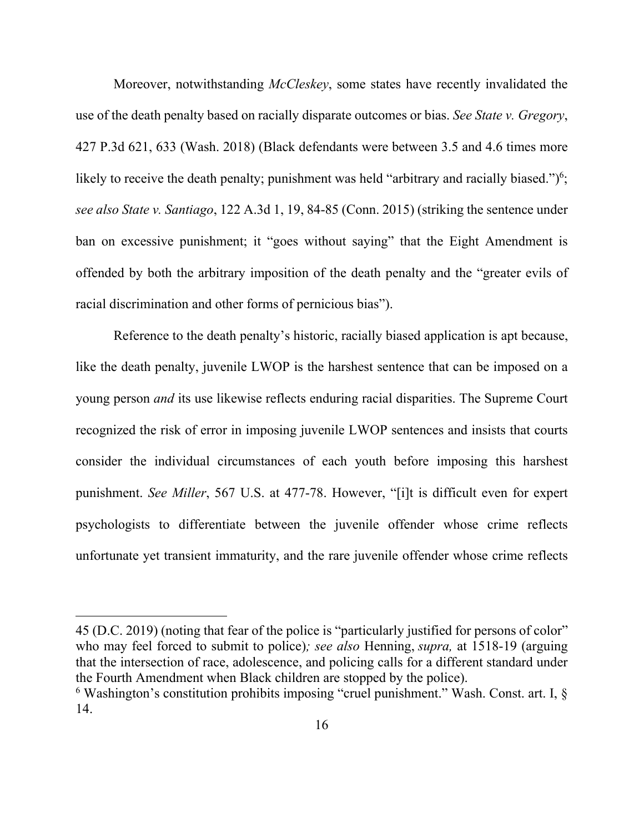Moreover, notwithstanding *McCleskey*, some states have recently invalidated the use of the death penalty based on racially disparate outcomes or bias. *See State v. Gregory*, 427 P.3d 621, 633 (Wash. 2018) (Black defendants were between 3.5 and 4.6 times more likely to receive the death penalty; punishment was held "arbitrary and racially biased." $)^6$ ; *see also State v. Santiago*, 122 A.3d 1, 19, 84-85 (Conn. 2015) (striking the sentence under ban on excessive punishment; it "goes without saying" that the Eight Amendment is offended by both the arbitrary imposition of the death penalty and the "greater evils of racial discrimination and other forms of pernicious bias").

Reference to the death penalty's historic, racially biased application is apt because, like the death penalty, juvenile LWOP is the harshest sentence that can be imposed on a young person *and* its use likewise reflects enduring racial disparities. The Supreme Court recognized the risk of error in imposing juvenile LWOP sentences and insists that courts consider the individual circumstances of each youth before imposing this harshest punishment. *See Miller*, 567 U.S. at 477-78. However, "[i]t is difficult even for expert psychologists to differentiate between the juvenile offender whose crime reflects unfortunate yet transient immaturity, and the rare juvenile offender whose crime reflects

<sup>45 (</sup>D.C. 2019) (noting that fear of the police is "particularly justified for persons of color" who may feel forced to submit to police)*; see also* Henning, *supra,* at 1518-19 (arguing that the intersection of race, adolescence, and policing calls for a different standard under the Fourth Amendment when Black children are stopped by the police).

<sup>&</sup>lt;sup>6</sup> Washington's constitution prohibits imposing "cruel punishment." Wash. Const. art. I, § 14.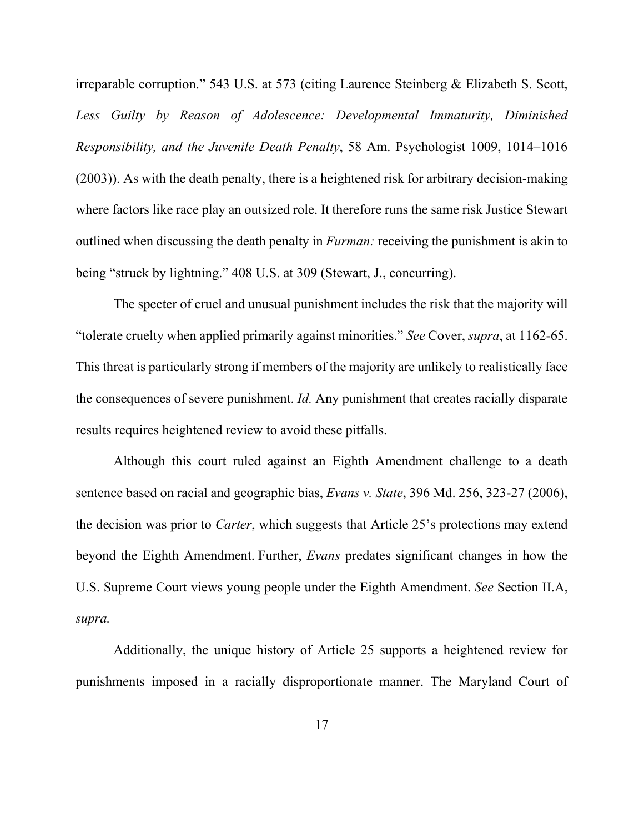irreparable corruption." 543 U.S. at 573 (citing Laurence Steinberg & Elizabeth S. Scott, *Less Guilty by Reason of Adolescence: Developmental Immaturity, Diminished Responsibility, and the Juvenile Death Penalty*, 58 Am. Psychologist 1009, 1014–1016 (2003)). As with the death penalty, there is a heightened risk for arbitrary decision-making where factors like race play an outsized role. It therefore runs the same risk Justice Stewart outlined when discussing the death penalty in *Furman:* receiving the punishment is akin to being "struck by lightning." 408 U.S. at 309 (Stewart, J., concurring).

The specter of cruel and unusual punishment includes the risk that the majority will "tolerate cruelty when applied primarily against minorities." *See* Cover, *supra*, at 1162-65. This threat is particularly strong if members of the majority are unlikely to realistically face the consequences of severe punishment. *Id.* Any punishment that creates racially disparate results requires heightened review to avoid these pitfalls.

Although this court ruled against an Eighth Amendment challenge to a death sentence based on racial and geographic bias, *Evans v. State*, 396 Md. 256, 323-27 (2006), the decision was prior to *Carter*, which suggests that Article 25's protections may extend beyond the Eighth Amendment. Further, *Evans* predates significant changes in how the U.S. Supreme Court views young people under the Eighth Amendment. *See* Section II.A, *supra.*

Additionally, the unique history of Article 25 supports a heightened review for punishments imposed in a racially disproportionate manner. The Maryland Court of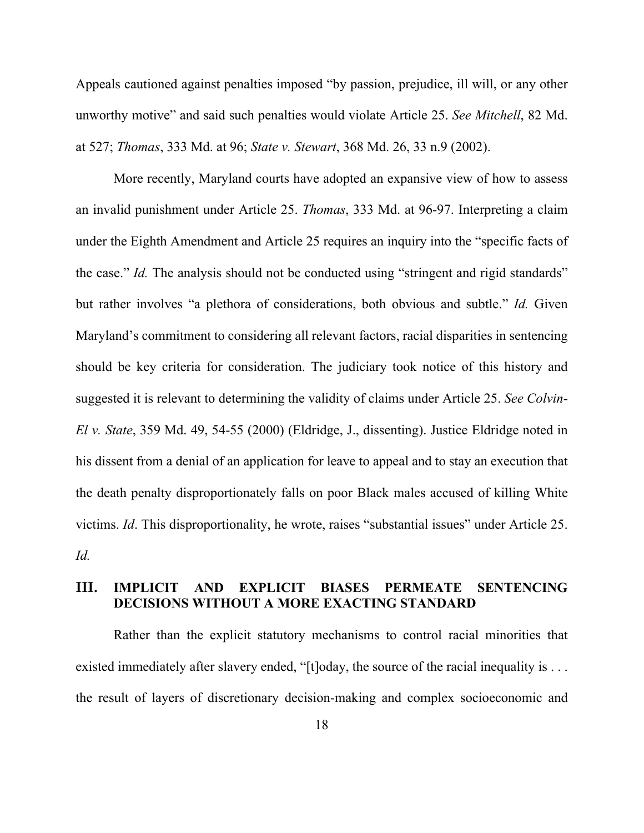Appeals cautioned against penalties imposed "by passion, prejudice, ill will, or any other unworthy motive" and said such penalties would violate Article 25. *See Mitchell*, 82 Md. at 527; *Thomas*, 333 Md. at 96; *State v. Stewart*, 368 Md. 26, 33 n.9 (2002).

More recently, Maryland courts have adopted an expansive view of how to assess an invalid punishment under Article 25. *Thomas*, 333 Md. at 96-97. Interpreting a claim under the Eighth Amendment and Article 25 requires an inquiry into the "specific facts of the case." *Id.* The analysis should not be conducted using "stringent and rigid standards" but rather involves "a plethora of considerations, both obvious and subtle." *Id.* Given Maryland's commitment to considering all relevant factors, racial disparities in sentencing should be key criteria for consideration. The judiciary took notice of this history and suggested it is relevant to determining the validity of claims under Article 25. *See Colvin-El v. State*, 359 Md. 49, 54-55 (2000) (Eldridge, J., dissenting). Justice Eldridge noted in his dissent from a denial of an application for leave to appeal and to stay an execution that the death penalty disproportionately falls on poor Black males accused of killing White victims. *Id*. This disproportionality, he wrote, raises "substantial issues" under Article 25. *Id.*

# **III. IMPLICIT AND EXPLICIT BIASES PERMEATE SENTENCING DECISIONS WITHOUT A MORE EXACTING STANDARD**

Rather than the explicit statutory mechanisms to control racial minorities that existed immediately after slavery ended, "[t]oday, the source of the racial inequality is ... the result of layers of discretionary decision-making and complex socioeconomic and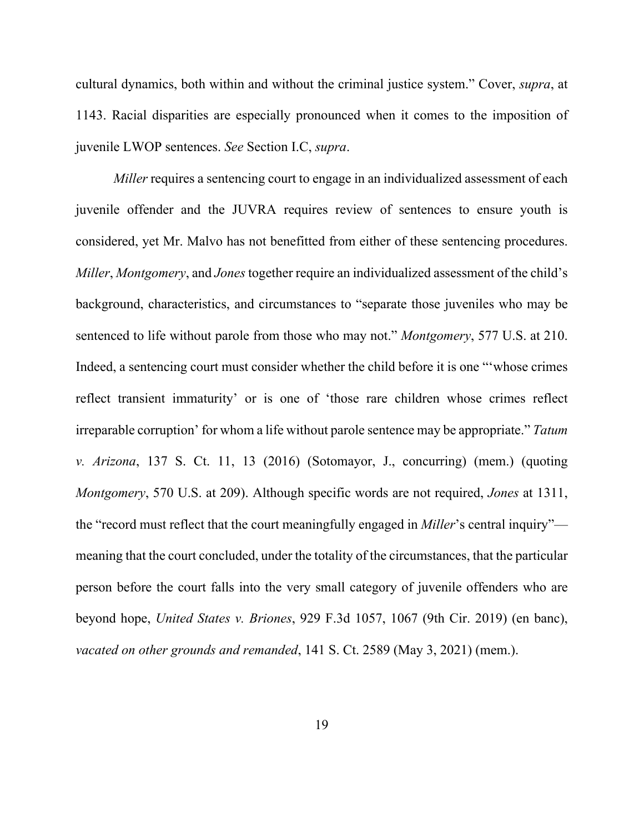cultural dynamics, both within and without the criminal justice system." Cover, *supra*, at 1143. Racial disparities are especially pronounced when it comes to the imposition of juvenile LWOP sentences. *See* Section I.C, *supra*.

*Miller* requires a sentencing court to engage in an individualized assessment of each juvenile offender and the JUVRA requires review of sentences to ensure youth is considered, yet Mr. Malvo has not benefitted from either of these sentencing procedures. *Miller*, *Montgomery*, and *Jones* together require an individualized assessment of the child's background, characteristics, and circumstances to "separate those juveniles who may be sentenced to life without parole from those who may not." *Montgomery*, 577 U.S. at 210. Indeed, a sentencing court must consider whether the child before it is one "'whose crimes reflect transient immaturity' or is one of 'those rare children whose crimes reflect irreparable corruption' for whom a life without parole sentence may be appropriate." *Tatum v. Arizona*, 137 S. Ct. 11, 13 (2016) (Sotomayor, J., concurring) (mem.) (quoting *Montgomery*, 570 U.S. at 209). Although specific words are not required, *Jones* at 1311, the "record must reflect that the court meaningfully engaged in *Miller*'s central inquiry" meaning that the court concluded, under the totality of the circumstances, that the particular person before the court falls into the very small category of juvenile offenders who are beyond hope, *United States v. Briones*, 929 F.3d 1057, 1067 (9th Cir. 2019) (en banc), *vacated on other grounds and remanded*, 141 S. Ct. 2589 (May 3, 2021) (mem.).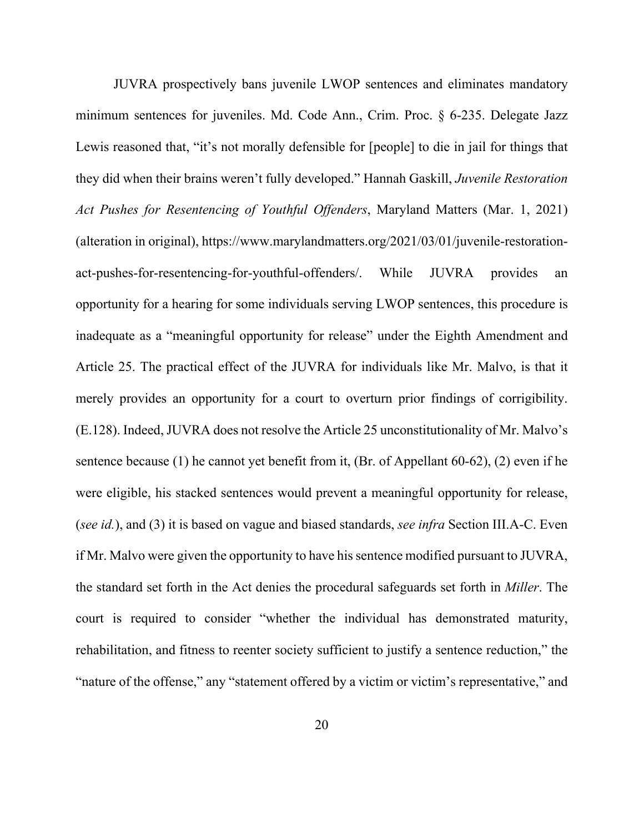JUVRA prospectively bans juvenile LWOP sentences and eliminates mandatory minimum sentences for juveniles. Md. Code Ann., Crim. Proc. § 6-235. Delegate Jazz Lewis reasoned that, "it's not morally defensible for [people] to die in jail for things that they did when their brains weren't fully developed." Hannah Gaskill, *Juvenile Restoration Act Pushes for Resentencing of Youthful Offenders*, Maryland Matters (Mar. 1, 2021) (alteration in original), https://www.marylandmatters.org/2021/03/01/juvenile-restorationact-pushes-for-resentencing-for-youthful-offenders/. While JUVRA provides an opportunity for a hearing for some individuals serving LWOP sentences, this procedure is inadequate as a "meaningful opportunity for release" under the Eighth Amendment and Article 25. The practical effect of the JUVRA for individuals like Mr. Malvo, is that it merely provides an opportunity for a court to overturn prior findings of corrigibility. (E.128). Indeed, JUVRA does not resolve the Article 25 unconstitutionality of Mr. Malvo's sentence because (1) he cannot yet benefit from it, (Br. of Appellant 60-62), (2) even if he were eligible, his stacked sentences would prevent a meaningful opportunity for release, (*see id.*), and (3) it is based on vague and biased standards, *see infra* Section III.A-C. Even if Mr. Malvo were given the opportunity to have his sentence modified pursuant to JUVRA, the standard set forth in the Act denies the procedural safeguards set forth in *Miller*. The court is required to consider "whether the individual has demonstrated maturity, rehabilitation, and fitness to reenter society sufficient to justify a sentence reduction," the "nature of the offense," any "statement offered by a victim or victim's representative," and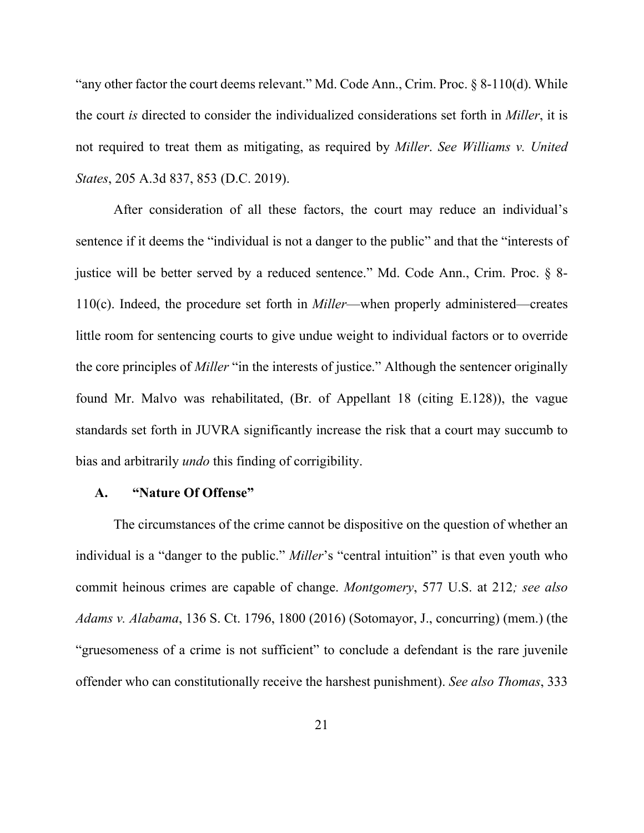"any other factor the court deems relevant." Md. Code Ann., Crim. Proc. § 8-110(d). While the court *is* directed to consider the individualized considerations set forth in *Miller*, it is not required to treat them as mitigating, as required by *Miller*. *See Williams v. United States*, 205 A.3d 837, 853 (D.C. 2019).

After consideration of all these factors, the court may reduce an individual's sentence if it deems the "individual is not a danger to the public" and that the "interests of justice will be better served by a reduced sentence." Md. Code Ann., Crim. Proc. § 8- 110(c). Indeed, the procedure set forth in *Miller*—when properly administered—creates little room for sentencing courts to give undue weight to individual factors or to override the core principles of *Miller* "in the interests of justice." Although the sentencer originally found Mr. Malvo was rehabilitated, (Br. of Appellant 18 (citing E.128)), the vague standards set forth in JUVRA significantly increase the risk that a court may succumb to bias and arbitrarily *undo* this finding of corrigibility.

### **A. "Nature Of Offense"**

The circumstances of the crime cannot be dispositive on the question of whether an individual is a "danger to the public." *Miller*'s "central intuition" is that even youth who commit heinous crimes are capable of change. *Montgomery*, 577 U.S. at 212*; see also Adams v. Alabama*, 136 S. Ct. 1796, 1800 (2016) (Sotomayor, J., concurring) (mem.) (the "gruesomeness of a crime is not sufficient" to conclude a defendant is the rare juvenile offender who can constitutionally receive the harshest punishment). *See also Thomas*, 333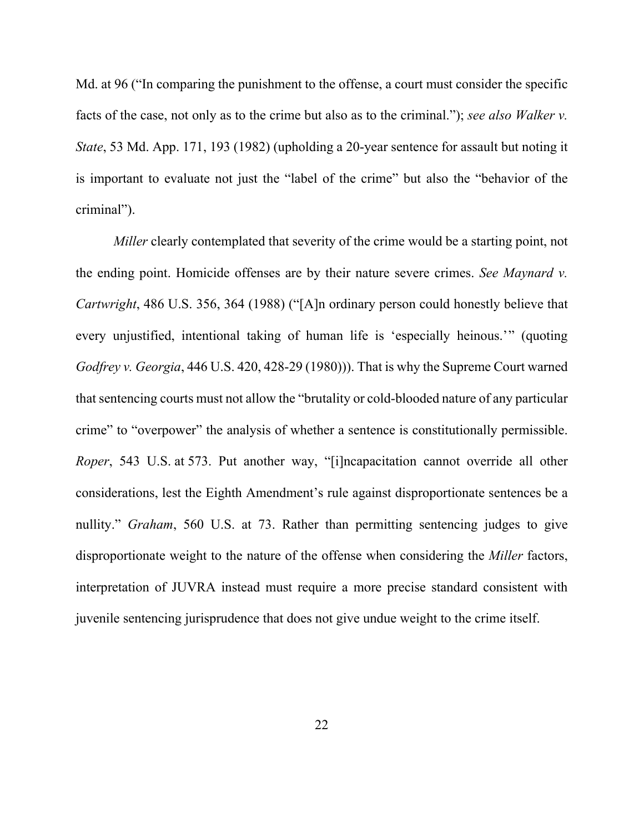Md. at 96 ("In comparing the punishment to the offense, a court must consider the specific facts of the case, not only as to the crime but also as to the criminal."); *see also Walker v. State*, 53 Md. App. 171, 193 (1982) (upholding a 20-year sentence for assault but noting it is important to evaluate not just the "label of the crime" but also the "behavior of the criminal").

*Miller* clearly contemplated that severity of the crime would be a starting point, not the ending point. Homicide offenses are by their nature severe crimes. *See Maynard v. Cartwright*, 486 U.S. 356, 364 (1988) ("[A]n ordinary person could honestly believe that every unjustified, intentional taking of human life is 'especially heinous.'" (quoting *Godfrey v. Georgia*, 446 U.S. 420, 428-29 (1980))). That is why the Supreme Court warned that sentencing courts must not allow the "brutality or cold-blooded nature of any particular crime" to "overpower" the analysis of whether a sentence is constitutionally permissible. *Roper*, 543 U.S. at 573. Put another way, "[i]ncapacitation cannot override all other considerations, lest the Eighth Amendment's rule against disproportionate sentences be a nullity." *Graham*, 560 U.S. at 73. Rather than permitting sentencing judges to give disproportionate weight to the nature of the offense when considering the *Miller* factors, interpretation of JUVRA instead must require a more precise standard consistent with juvenile sentencing jurisprudence that does not give undue weight to the crime itself.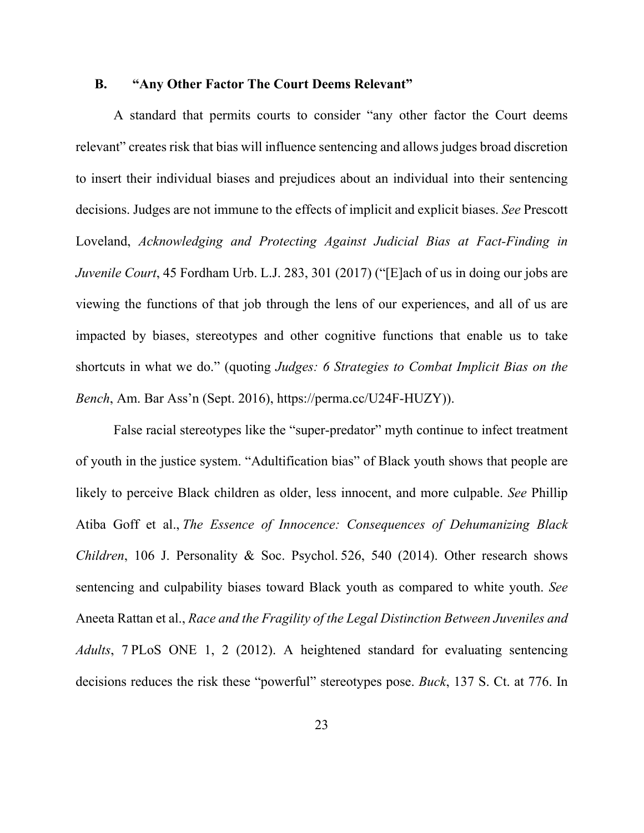### **B. "Any Other Factor The Court Deems Relevant"**

A standard that permits courts to consider "any other factor the Court deems relevant" creates risk that bias will influence sentencing and allows judges broad discretion to insert their individual biases and prejudices about an individual into their sentencing decisions. Judges are not immune to the effects of implicit and explicit biases. *See* Prescott Loveland, *Acknowledging and Protecting Against Judicial Bias at Fact-Finding in Juvenile Court*, 45 Fordham Urb. L.J. 283, 301 (2017) ("[E]ach of us in doing our jobs are viewing the functions of that job through the lens of our experiences, and all of us are impacted by biases, stereotypes and other cognitive functions that enable us to take shortcuts in what we do." (quoting *Judges: 6 Strategies to Combat Implicit Bias on the Bench*, Am. Bar Ass'n (Sept. 2016), https://perma.cc/U24F-HUZY)).

False racial stereotypes like the "super-predator" myth continue to infect treatment of youth in the justice system. "Adultification bias" of Black youth shows that people are likely to perceive Black children as older, less innocent, and more culpable. *See* Phillip Atiba Goff et al., *The Essence of Innocence: Consequences of Dehumanizing Black Children*, 106 J. Personality & Soc. Psychol. 526, 540 (2014). Other research shows sentencing and culpability biases toward Black youth as compared to white youth. *See* Aneeta Rattan et al., *Race and the Fragility of the Legal Distinction Between Juveniles and Adults*, 7 PLoS ONE 1, 2 (2012). A heightened standard for evaluating sentencing decisions reduces the risk these "powerful" stereotypes pose. *Buck*, 137 S. Ct. at 776. In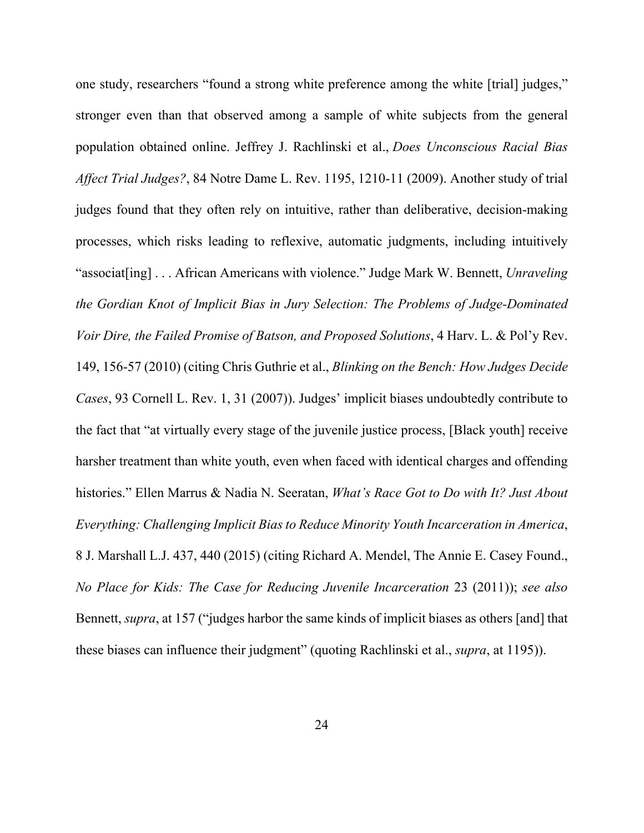one study, researchers "found a strong white preference among the white [trial] judges," stronger even than that observed among a sample of white subjects from the general population obtained online. Jeffrey J. Rachlinski et al., *Does Unconscious Racial Bias Affect Trial Judges?*, 84 Notre Dame L. Rev. 1195, 1210-11 (2009). Another study of trial judges found that they often rely on intuitive, rather than deliberative, decision-making processes, which risks leading to reflexive, automatic judgments, including intuitively "associat[ing] . . . African Americans with violence." Judge Mark W. Bennett, *Unraveling the Gordian Knot of Implicit Bias in Jury Selection: The Problems of Judge-Dominated Voir Dire, the Failed Promise of Batson, and Proposed Solutions*, 4 Harv. L. & Pol'y Rev. 149, 156-57 (2010) (citing Chris Guthrie et al., *Blinking on the Bench: How Judges Decide Cases*, 93 Cornell L. Rev. 1, 31 (2007)). Judges' implicit biases undoubtedly contribute to the fact that "at virtually every stage of the juvenile justice process, [Black youth] receive harsher treatment than white youth, even when faced with identical charges and offending histories." Ellen Marrus & Nadia N. Seeratan, *What's Race Got to Do with It? Just About Everything: Challenging Implicit Bias to Reduce Minority Youth Incarceration in America*, 8 J. Marshall L.J. 437, 440 (2015) (citing Richard A. Mendel, The Annie E. Casey Found., *No Place for Kids: The Case for Reducing Juvenile Incarceration* 23 (2011)); *see also* Bennett, *supra*, at 157 ("judges harbor the same kinds of implicit biases as others [and] that these biases can influence their judgment" (quoting Rachlinski et al., *supra*, at 1195)).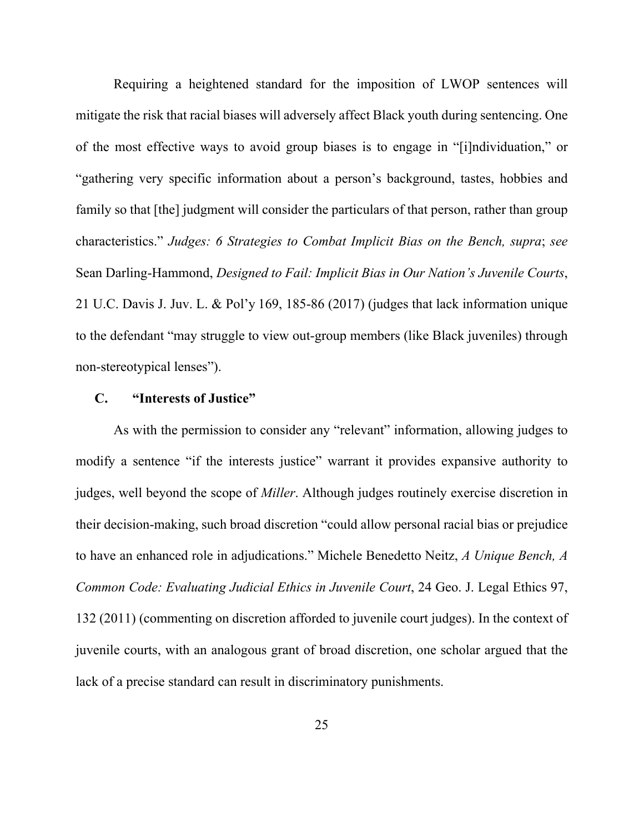Requiring a heightened standard for the imposition of LWOP sentences will mitigate the risk that racial biases will adversely affect Black youth during sentencing. One of the most effective ways to avoid group biases is to engage in "[i]ndividuation," or "gathering very specific information about a person's background, tastes, hobbies and family so that [the] judgment will consider the particulars of that person, rather than group characteristics." *Judges: 6 Strategies to Combat Implicit Bias on the Bench, supra*; *see* Sean Darling-Hammond, *Designed to Fail: Implicit Bias in Our Nation's Juvenile Courts*, 21 U.C. Davis J. Juv. L. & Pol'y 169, 185-86 (2017) (judges that lack information unique to the defendant "may struggle to view out-group members (like Black juveniles) through non-stereotypical lenses").

#### **C. "Interests of Justice"**

As with the permission to consider any "relevant" information, allowing judges to modify a sentence "if the interests justice" warrant it provides expansive authority to judges, well beyond the scope of *Miller*. Although judges routinely exercise discretion in their decision-making, such broad discretion "could allow personal racial bias or prejudice to have an enhanced role in adjudications." Michele Benedetto Neitz, *A Unique Bench, A Common Code: Evaluating Judicial Ethics in Juvenile Court*, 24 Geo. J. Legal Ethics 97, 132 (2011) (commenting on discretion afforded to juvenile court judges). In the context of juvenile courts, with an analogous grant of broad discretion, one scholar argued that the lack of a precise standard can result in discriminatory punishments.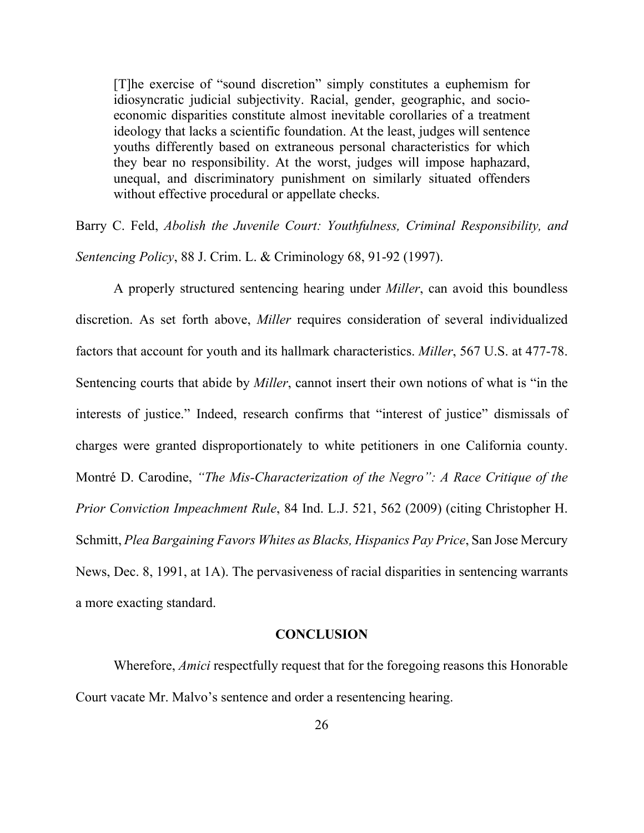[T]he exercise of "sound discretion" simply constitutes a euphemism for idiosyncratic judicial subjectivity. Racial, gender, geographic, and socioeconomic disparities constitute almost inevitable corollaries of a treatment ideology that lacks a scientific foundation. At the least, judges will sentence youths differently based on extraneous personal characteristics for which they bear no responsibility. At the worst, judges will impose haphazard, unequal, and discriminatory punishment on similarly situated offenders without effective procedural or appellate checks.

Barry C. Feld, *Abolish the Juvenile Court: Youthfulness, Criminal Responsibility, and Sentencing Policy*, 88 J. Crim. L. & Criminology 68, 91-92 (1997).

A properly structured sentencing hearing under *Miller*, can avoid this boundless discretion. As set forth above, *Miller* requires consideration of several individualized factors that account for youth and its hallmark characteristics. *Miller*, 567 U.S. at 477-78. Sentencing courts that abide by *Miller*, cannot insert their own notions of what is "in the interests of justice." Indeed, research confirms that "interest of justice" dismissals of charges were granted disproportionately to white petitioners in one California county. Montré D. Carodine, *"The Mis-Characterization of the Negro": A Race Critique of the Prior Conviction Impeachment Rule*, 84 Ind. L.J. 521, 562 (2009) (citing Christopher H. Schmitt, *Plea Bargaining Favors Whites as Blacks, Hispanics Pay Price*, San Jose Mercury News, Dec. 8, 1991, at 1A). The pervasiveness of racial disparities in sentencing warrants a more exacting standard.

#### **CONCLUSION**

Wherefore, *Amici* respectfully request that for the foregoing reasons this Honorable Court vacate Mr. Malvo's sentence and order a resentencing hearing.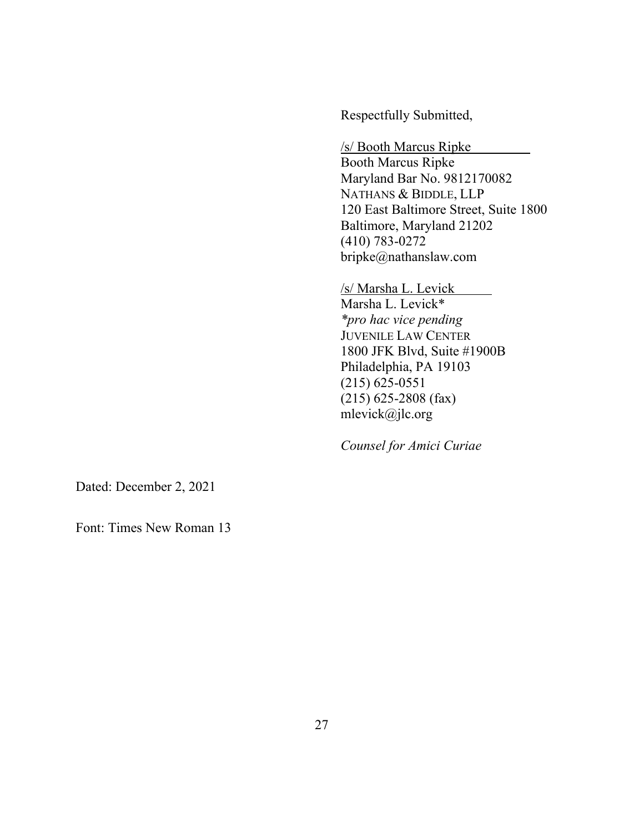Respectfully Submitted,

/s/ Booth Marcus Ripke

Booth Marcus Ripke Maryland Bar No. 9812170082 NATHANS & BIDDLE, LLP 120 East Baltimore Street, Suite 1800 Baltimore, Maryland 21202 (410) 783-0272 bripke@nathanslaw.com

/s/ Marsha L. Levick Marsha L. Levick\* *\*pro hac vice pending*  JUVENILE LAW CENTER 1800 JFK Blvd, Suite #1900B Philadelphia, PA 19103 (215) 625-0551 (215) 625-2808 (fax) mlevick@jlc.org

*Counsel for Amici Curiae* 

Dated: December 2, 2021

Font: Times New Roman 13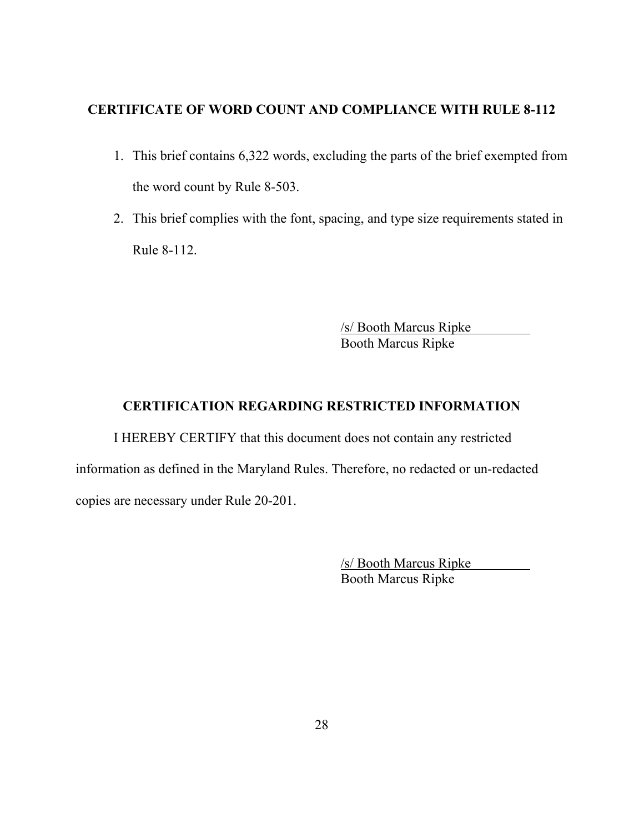## **CERTIFICATE OF WORD COUNT AND COMPLIANCE WITH RULE 8-112**

- 1. This brief contains 6,322 words, excluding the parts of the brief exempted from the word count by Rule 8-503.
- 2. This brief complies with the font, spacing, and type size requirements stated in Rule 8-112.

/s/ Booth Marcus Ripke Booth Marcus Ripke

# **CERTIFICATION REGARDING RESTRICTED INFORMATION**

I HEREBY CERTIFY that this document does not contain any restricted information as defined in the Maryland Rules. Therefore, no redacted or un-redacted copies are necessary under Rule 20-201.

> /s/ Booth Marcus Ripke Booth Marcus Ripke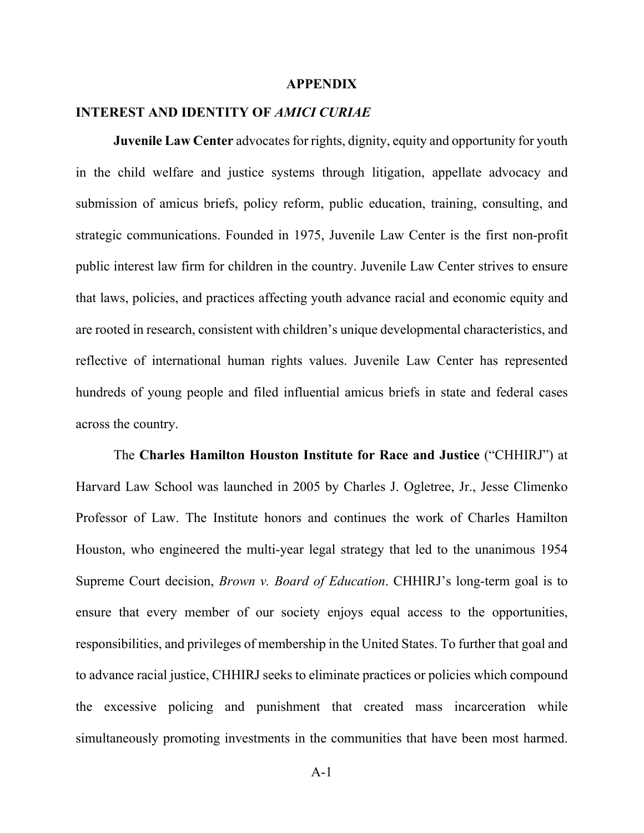#### **APPENDIX**

## **INTEREST AND IDENTITY OF** *AMICI CURIAE*

**Juvenile Law Center** advocates for rights, dignity, equity and opportunity for youth in the child welfare and justice systems through litigation, appellate advocacy and submission of amicus briefs, policy reform, public education, training, consulting, and strategic communications. Founded in 1975, Juvenile Law Center is the first non-profit public interest law firm for children in the country. Juvenile Law Center strives to ensure that laws, policies, and practices affecting youth advance racial and economic equity and are rooted in research, consistent with children's unique developmental characteristics, and reflective of international human rights values. Juvenile Law Center has represented hundreds of young people and filed influential amicus briefs in state and federal cases across the country.

The **Charles Hamilton Houston Institute for Race and Justice** ("CHHIRJ") at Harvard Law School was launched in 2005 by Charles J. Ogletree, Jr., Jesse Climenko Professor of Law. The Institute honors and continues the work of Charles Hamilton Houston, who engineered the multi-year legal strategy that led to the unanimous 1954 Supreme Court decision, *Brown v. Board of Education*. CHHIRJ's long-term goal is to ensure that every member of our society enjoys equal access to the opportunities, responsibilities, and privileges of membership in the United States. To further that goal and to advance racial justice, CHHIRJ seeks to eliminate practices or policies which compound the excessive policing and punishment that created mass incarceration while simultaneously promoting investments in the communities that have been most harmed.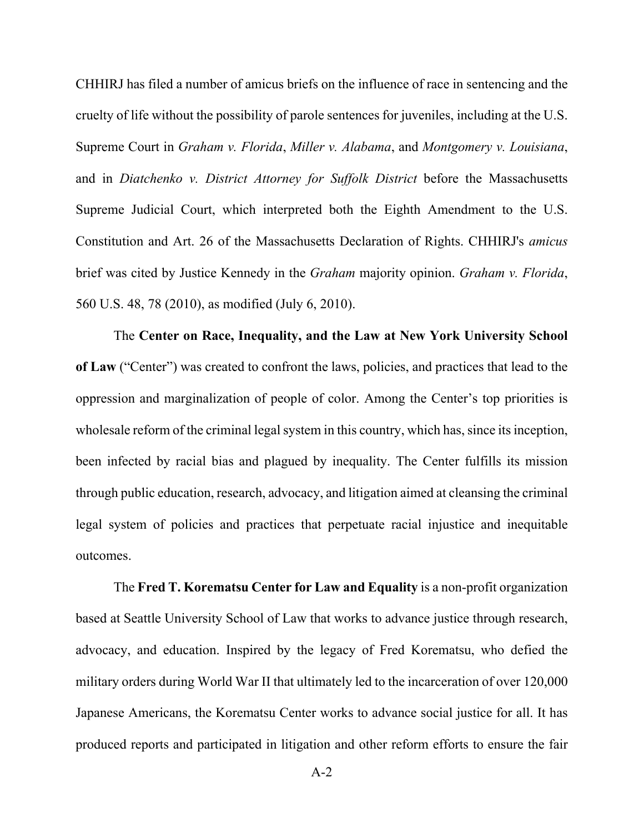CHHIRJ has filed a number of amicus briefs on the influence of race in sentencing and the cruelty of life without the possibility of parole sentences for juveniles, including at the U.S. Supreme Court in *Graham v. Florida*, *Miller v. Alabama*, and *Montgomery v. Louisiana*, and in *Diatchenko v. District Attorney for Suffolk District* before the Massachusetts Supreme Judicial Court, which interpreted both the Eighth Amendment to the U.S. Constitution and Art. 26 of the Massachusetts Declaration of Rights. CHHIRJ's *amicus* brief was cited by Justice Kennedy in the *Graham* majority opinion. *Graham v. Florida*, 560 U.S. 48, 78 (2010), as modified (July 6, 2010).

The **Center on Race, Inequality, and the Law at New York University School of Law** ("Center") was created to confront the laws, policies, and practices that lead to the oppression and marginalization of people of color. Among the Center's top priorities is wholesale reform of the criminal legal system in this country, which has, since its inception, been infected by racial bias and plagued by inequality. The Center fulfills its mission through public education, research, advocacy, and litigation aimed at cleansing the criminal legal system of policies and practices that perpetuate racial injustice and inequitable outcomes.

The **Fred T. Korematsu Center for Law and Equality** is a non-profit organization based at Seattle University School of Law that works to advance justice through research, advocacy, and education. Inspired by the legacy of Fred Korematsu, who defied the military orders during World War II that ultimately led to the incarceration of over 120,000 Japanese Americans, the Korematsu Center works to advance social justice for all. It has produced reports and participated in litigation and other reform efforts to ensure the fair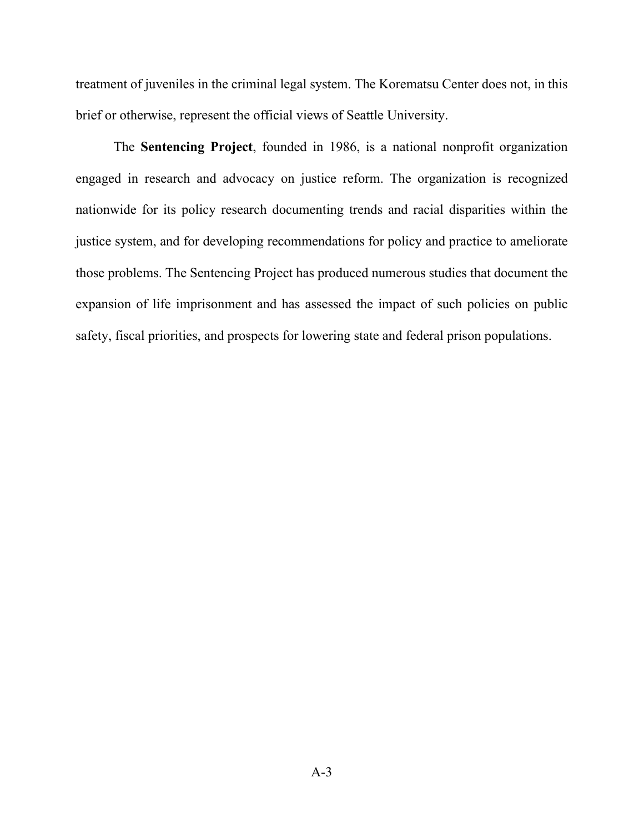treatment of juveniles in the criminal legal system. The Korematsu Center does not, in this brief or otherwise, represent the official views of Seattle University.

The **Sentencing Project**, founded in 1986, is a national nonprofit organization engaged in research and advocacy on justice reform. The organization is recognized nationwide for its policy research documenting trends and racial disparities within the justice system, and for developing recommendations for policy and practice to ameliorate those problems. The Sentencing Project has produced numerous studies that document the expansion of life imprisonment and has assessed the impact of such policies on public safety, fiscal priorities, and prospects for lowering state and federal prison populations.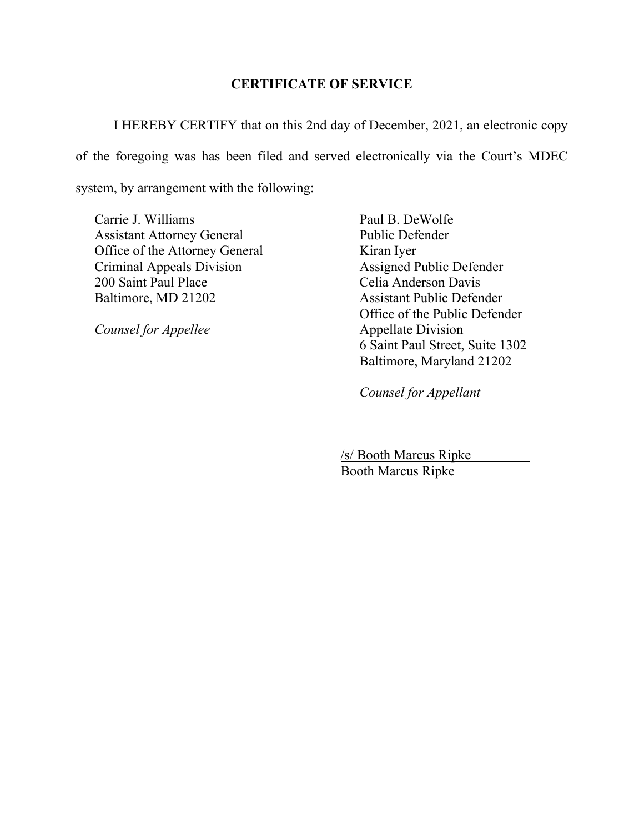## **CERTIFICATE OF SERVICE**

I HEREBY CERTIFY that on this 2nd day of December, 2021, an electronic copy of the foregoing was has been filed and served electronically via the Court's MDEC system, by arrangement with the following:

Carrie J. Williams Assistant Attorney General Office of the Attorney General Criminal Appeals Division 200 Saint Paul Place Baltimore, MD 21202

*Counsel for Appellee* 

Paul B. DeWolfe Public Defender Kiran Iyer Assigned Public Defender Celia Anderson Davis Assistant Public Defender Office of the Public Defender Appellate Division 6 Saint Paul Street, Suite 1302 Baltimore, Maryland 21202

*Counsel for Appellant* 

 /s/ Booth Marcus Ripke Booth Marcus Ripke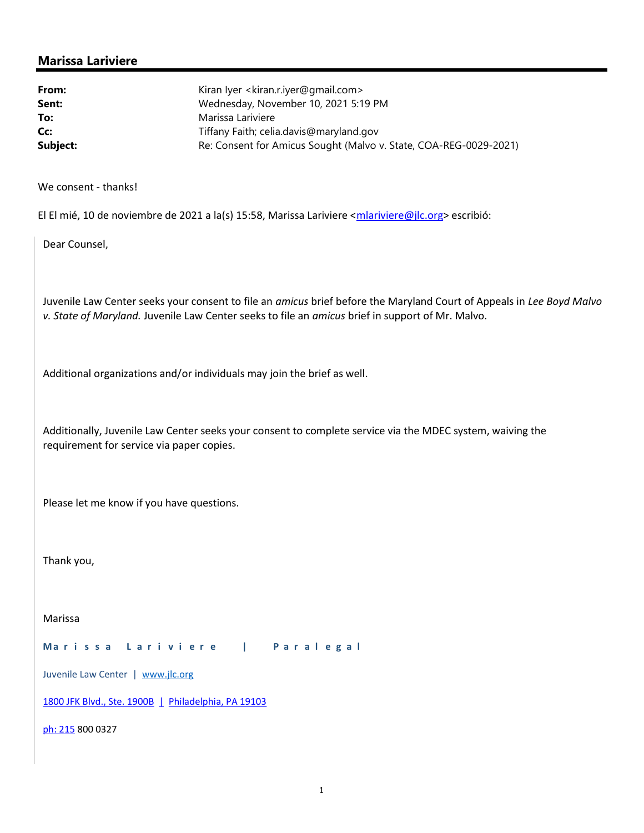### Marissa Lariviere

| From:    | Kiran Iyer < kiran.r.iyer@gmail.com>                              |
|----------|-------------------------------------------------------------------|
| Sent:    | Wednesday, November 10, 2021 5:19 PM                              |
| To:      | Marissa Lariviere                                                 |
| Cc:      | Tiffany Faith; celia.davis@maryland.gov                           |
| Subject: | Re: Consent for Amicus Sought (Malvo v. State, COA-REG-0029-2021) |

We consent - thanks!

El El mié, 10 de noviembre de 2021 a la(s) 15:58, Marissa Lariviere <mlariviere@jlc.org> escribió:

Dear Counsel,

Juvenile Law Center seeks your consent to file an amicus brief before the Maryland Court of Appeals in Lee Boyd Malvo v. State of Maryland. Juvenile Law Center seeks to file an amicus brief in support of Mr. Malvo.

Additional organizations and/or individuals may join the brief as well.

Additionally, Juvenile Law Center seeks your consent to complete service via the MDEC system, waiving the requirement for service via paper copies.

Please let me know if you have questions.

Thank you,

Marissa

Marissa Lariviere | Paralegal

Juvenile Law Center | www.jlc.org

1800 JFK Blvd., Ste. 1900B | Philadelphia, PA 19103

ph: 215 800 0327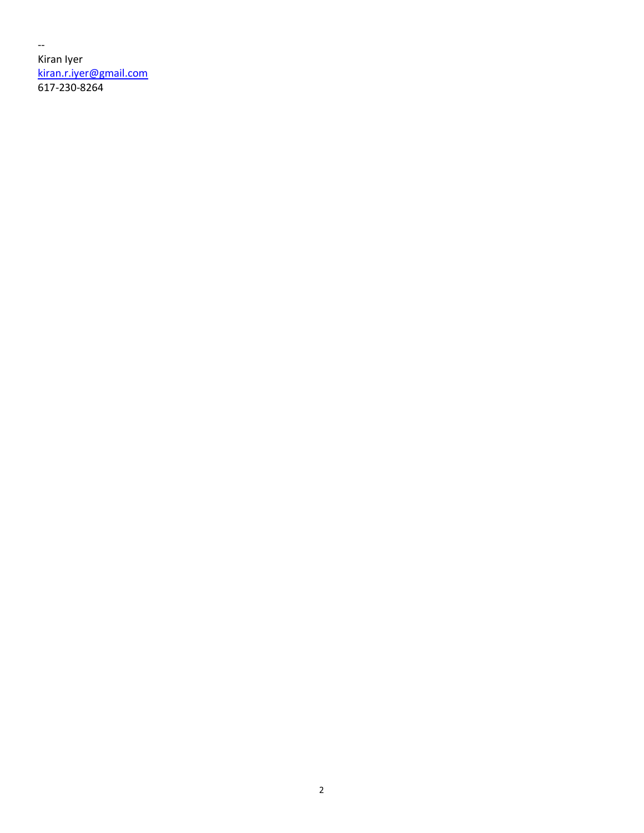-- Kiran Iyer kiran.r.iyer@gmail.com 617-230-8264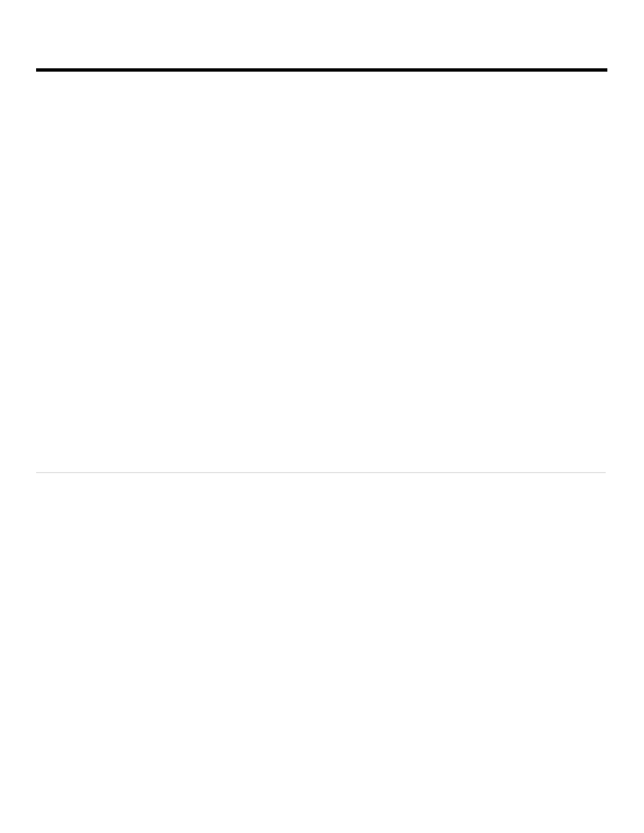| From:<br>Sent:                       | Williams, Carrie < c williams@oag.state.md.us<br>Wednesday, November 10, 2021 6:08 PM                                                                                                                                                               |  |
|--------------------------------------|-----------------------------------------------------------------------------------------------------------------------------------------------------------------------------------------------------------------------------------------------------|--|
| To:                                  | Marissa Lariviere                                                                                                                                                                                                                                   |  |
| $C_{\rm c}$ :                        | Tiffany Faith                                                                                                                                                                                                                                       |  |
| $S$ ubject:                          | RE: Consent for Amicus Sought (Malvo v. Sta                                                                                                                                                                                                         |  |
| Good evening,                        |                                                                                                                                                                                                                                                     |  |
| have a good evening.                 | The State consents to the filing of the amicus brief                                                                                                                                                                                                |  |
| Carrie                               |                                                                                                                                                                                                                                                     |  |
| Carrie J. Williams                   |                                                                                                                                                                                                                                                     |  |
| 200 Saint Paul Place<br>410-576-7837 | Principal Counsel for Criminal Policy<br>Office of the Attorney General<br>Baltimore, Maryland 21202                                                                                                                                                |  |
|                                      | Pronouns: she/her/hers                                                                                                                                                                                                                              |  |
|                                      | FromMarissa Lariviere < mlariviere@jlc.org><br>Sen Wednesday, November 10, 2021 5:00 PM<br>To: Williams, Carrie < cwilliams@oag.state.md.us><br>Cc:Tiffany Faith $\lt$ tfaith@jlc.org ><br>SubjeCootn:sent for Amicus Sought (Malvo v. State, COA-R |  |
| Dear Counsel,                        |                                                                                                                                                                                                                                                     |  |
|                                      | Juvenile Law Center saeme kbasy of urbefonsentheo Matery b Band C Ma<br>v. State olfu vMeanriylleanLda.w Caemit oe bors is eefe kisn tsoupfpid ret a onf Mr. Ma                                                                                     |  |
|                                      | Additional organizations and/or individuals may join                                                                                                                                                                                                |  |
|                                      | Additionally, Juvenile Law Center seeks youtheconesqent<br>for service via paper copies.                                                                                                                                                            |  |
|                                      | Please let me know if you have questions.                                                                                                                                                                                                           |  |
| Thank you,                           |                                                                                                                                                                                                                                                     |  |
| Marissa                              |                                                                                                                                                                                                                                                     |  |